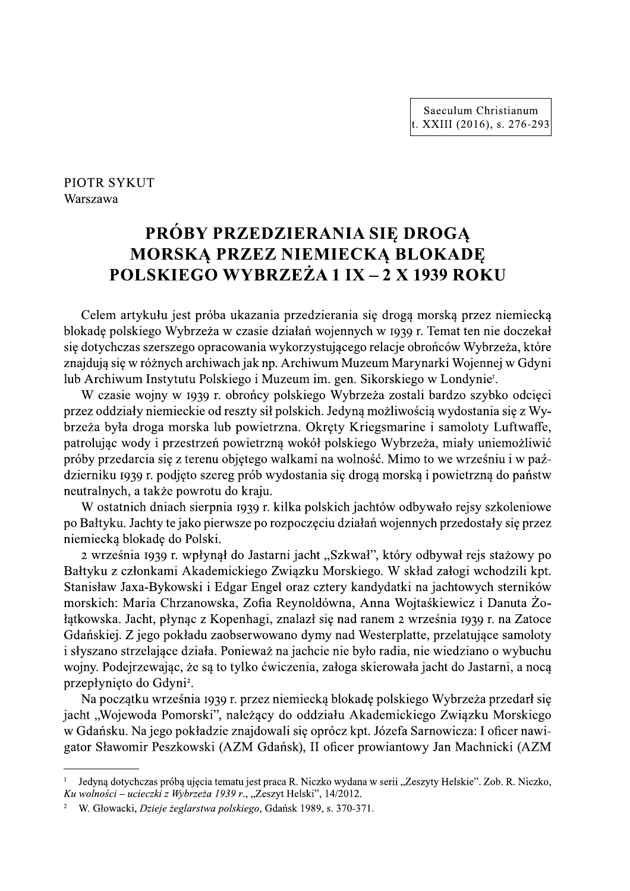## PIOTR SYKUT Warszawa

# PRÓBY PRZEDZIERANIA SIĘ DROGĄ MORSKA PRZEZ NIEMIECKĄ BLOKADE **POLSKIEGO WYBRZEŻA 1 IX – 2 X 1939 ROKU**

Celem artykułu jest próba ukazania przedzierania się drogą morską przez niemiecką blokadę polskiego Wybrzeża w czasie działań wojennych w 1939 r. Temat ten nie doczekał się dotychczas szerszego opracowania wykorzystującego relacje obrońców Wybrzeża, które znajdują się w różnych archiwach jak np. Archiwum Muzeum Marynarki Wojennej w Gdyni lub Archiwum Instytutu Polskiego i Muzeum im. gen. Sikorskiego w Londynie<sup>r</sup>.

W czasie wojny w 1939 r. obrońcy polskiego Wybrzeża zostali bardzo szybko odcięci przez oddziały niemieckie od reszty sił polskich. Jedyną możliwością wydostania się z Wybrzeża była droga morska lub powietrzna. Okręty Kriegsmarine i samoloty Luftwaffe, patrolując wody i przestrzeń powietrzną wokół polskiego Wybrzeża, miały uniemożliwić próby przedarcia się z terenu objętego walkami na wolność. Mimo to we wrześniu i w październiku 1939 r. podjęto szereg prób wydostania się drogą morską i powietrzną do państw neutralnych, a także powrotu do kraju.

W ostatnich dniach sierpnia 1939 r. kilka polskich jachtów odbywało rejsy szkoleniowe po Bałtyku. Jachty te jako pierwsze po rozpoczęciu działań wojennych przedostały się przez niemiecką blokadę do Polski.

2 września 1939 r. wpłynał do Jastarni jacht "Szkwał", który odbywał rejs stażowy po Bałtyku z członkami Akademickiego Związku Morskiego. W skład załogi wchodzili kpt. Stanisław Jaxa-Bykowski i Edgar Engel oraz cztery kandydatki na jachtowych sterników morskich: Maria Chrzanowska, Zofia Reynoldówna, Anna Wojtaśkiewicz i Danuta Żołątkowska. Jacht, płynąc z Kopenhagi, znalazł się nad ranem 2 września 1939 r. na Zatoce Gdańskiej. Z jego pokładu zaobserwowano dymy nad Westerplatte, przelatujące samoloty i słyszano strzelające działa. Ponieważ na jachcie nie było radia, nie wiedziano o wybuchu wojny. Podejrzewając, że są to tylko ćwiczenia, załoga skierowała jacht do Jastarni, a nocą przepłynięto do Gdyni<sup>2</sup>.

Na początku września 1939 r. przez niemiecką blokadę polskiego Wybrzeża przedarł się jacht "Wojewoda Pomorski", należący do oddziału Akademickiego Związku Morskiego w Gdańsku. Na jego pokładzie znajdowali się oprócz kpt. Józefa Sarnowicza: I oficer nawigator Sławomir Peszkowski (AZM Gdańsk), II oficer prowiantowy Jan Machnicki (AZM

Jedyną dotychczas próbą ujęcia tematu jest praca R. Niczko wydana w serii "Zeszyty Helskie". Zob. R. Niczko, Ku wolności – ucieczki z Wybrzeża 1939 r., "Zeszyt Helski", 14/2012.

W. Głowacki, Dzieje żeglarstwa polskiego, Gdańsk 1989, s. 370-371.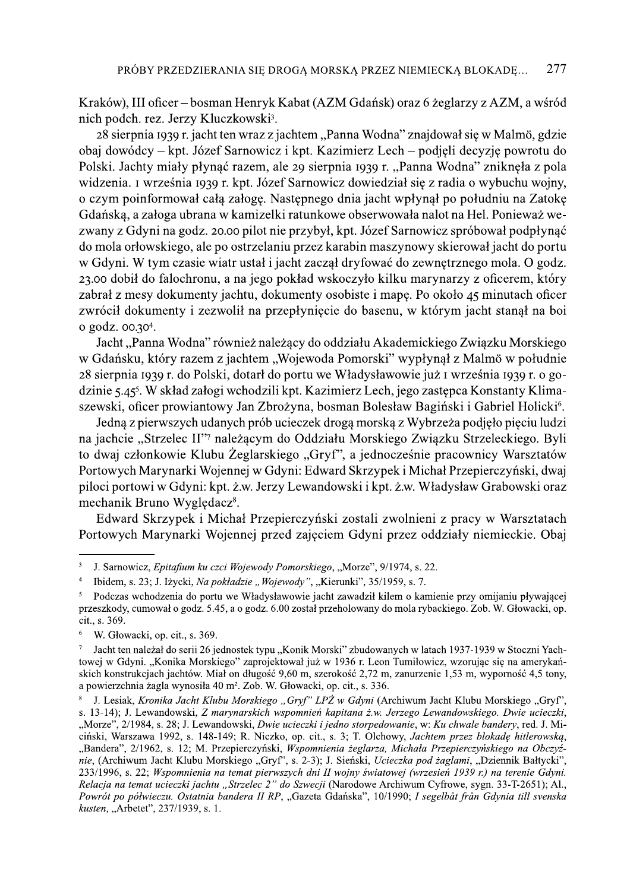Kraków), III oficer – bosman Henryk Kabat (AZM Gdańsk) oraz 6 żeglarzy z AZM, a wśród nich podch. rez. Jerzy Kluczkowski<sup>3</sup>.

28 sierpnia 1939 r. jacht ten wraz z jachtem "Panna Wodna" znajdował się w Malmö, gdzie obaj dowódcy – kpt. Józef Sarnowicz i kpt. Kazimierz Lech – podjęli decyzję powrotu do Polski. Jachty miały płynąć razem, ale 29 sierpnia 1939 r. "Panna Wodna" zniknęła z pola widzenia. I września 1939 r. kpt. Józef Sarnowicz dowiedział się z radia o wybuchu wojny, o czym poinformował całą załogę. Następnego dnia jacht wpłynął po południu na Zatokę Gdańską, a załoga ubrana w kamizelki ratunkowe obserwowała nalot na Hel. Ponieważ wezwany z Gdyni na godz. 20.00 pilot nie przybył, kpt. Józef Sarnowicz spróbował podpłynąć do mola orłowskiego, ale po ostrzelaniu przez karabin maszynowy skierował jacht do portu w Gdyni. W tym czasie wiatr ustał i jacht zaczął dryfować do zewnętrznego mola. O godz. 23.00 dobił do falochronu, a na jego pokład wskoczyło kilku marynarzy z oficerem, który zabrał z mesy dokumenty jachtu, dokumenty osobiste i mapę. Po około 45 minutach oficer zwrócił dokumenty i zezwolił na przepłynięcie do basenu, w którym jacht stanął na boj o godz. 00.30<sup>4</sup>.

Jacht, Panna Wodna" również należący do oddziału Akademickiego Związku Morskiego w Gdańsku, który razem z jachtem "Wojewoda Pomorski" wypłynął z Malmö w południe 28 sierpnia 1939 r. do Polski, dotarł do portu we Władysławowie już I września 1939 r. o godzinie 5.45<sup>5</sup>. W skład załogi wchodzili kpt. Kazimierz Lech, jego zastępca Konstanty Klimaszewski, oficer prowiantowy Jan Zbrożyna, bosman Bolesław Bagiński i Gabriel Holicki<sup>6</sup>.

Jedna z pierwszych udanych prób ucieczek drogą morską z Wybrzeża podjęło pieciu ludzi na jachcie "Strzelec II"<sup>7</sup> należącym do Oddziału Morskiego Związku Strzeleckiego. Byli to dwaj członkowie Klubu Żeglarskiego "Gryf", a jednocześnie pracownicy Warsztatów Portowych Marynarki Wojennej w Gdyni: Edward Skrzypek i Michał Przepierczyński, dwaj piloci portowi w Gdyni: kpt. ż.w. Jerzy Lewandowski i kpt. ż.w. Władysław Grabowski oraz mechanik Bruno Wyględacz<sup>8</sup>.

Edward Skrzypek i Michał Przepierczyński zostali zwolnieni z pracy w Warsztatach Portowych Marynarki Wojennej przed zajęciem Gdyni przez oddziały niemieckie. Obaj

 $\ddot{6}$ W. Głowacki, op. cit., s. 369.

 $\overline{3}$ J. Sarnowicz, Epitafium ku czci Wojewody Pomorskiego, "Morze", 9/1974, s. 22.

 $\overline{4}$ Ibidem, s. 23; J. Iżycki, Na pokładzie "Wojewody", "Kierunki", 35/1959, s. 7.

 $\overline{\mathbf{5}}$ Podczas wchodzenia do portu we Władysławowie jacht zawadził kilem o kamienie przy omijaniu pływającej przeszkody, cumował o godz. 5.45, a o godz. 6.00 został przeholowany do mola rybackiego. Zob. W. Głowacki, op. cit., s. 369.

Jacht ten należał do serii 26 jednostek typu "Konik Morski" zbudowanych w latach 1937-1939 w Stoczni Yachtowej w Gdyni. "Konika Morskiego" zaprojektował już w 1936 r. Leon Tumiłowicz, wzorując się na amerykańskich konstrukcjach jachtów. Miał on długość 9,60 m, szerokość 2,72 m, zanurzenie 1,53 m, wyporność 4,5 tony, a powierzchnia żagla wynosiła 40 m<sup>2</sup>. Zob. W. Głowacki, op. cit., s. 336.

J. Lesiak, Kronika Jacht Klubu Morskiego "Gryf" LPŻ w Gdyni (Archiwum Jacht Klubu Morskiego "Gryf", s. 13-14); J. Lewandowski, Z marynarskich wspomnień kapitana ż.w. Jerzego Lewandowskiego. Dwie ucieczki, "Morze", 2/1984, s. 28; J. Lewandowski, Dwie ucieczki i jedno storpedowanie, w: Ku chwale bandery, red. J. Miciński, Warszawa 1992, s. 148-149; R. Niczko, op. cit., s. 3; T. Olchowy, Jachtem przez blokade hitlerowska, "Bandera", 2/1962, s. 12; M. Przepierczyński, Wspomnienia żeglarza, Michała Przepierczyńskiego na Obczyźnie, (Archiwum Jacht Klubu Morskiego "Gryf", s. 2-3); J. Sieński, Ucieczka pod żaglami, "Dziennik Bałtycki" 233/1996, s. 22; Wspomnienia na temat pierwszych dni II wojny światowej (wrzesień 1939 r.) na terenie Gdyni. Relacja na temat ucieczki jachtu "Strzelec 2" do Szwecji (Narodowe Archiwum Cyfrowe, sygn. 33-T-2651); Al., Powrót po półwieczu. Ostatnia bandera II RP, "Gazeta Gdańska", 10/1990; I segelbåt från Gdynia till svenska kusten, "Arbetet", 237/1939, s. 1.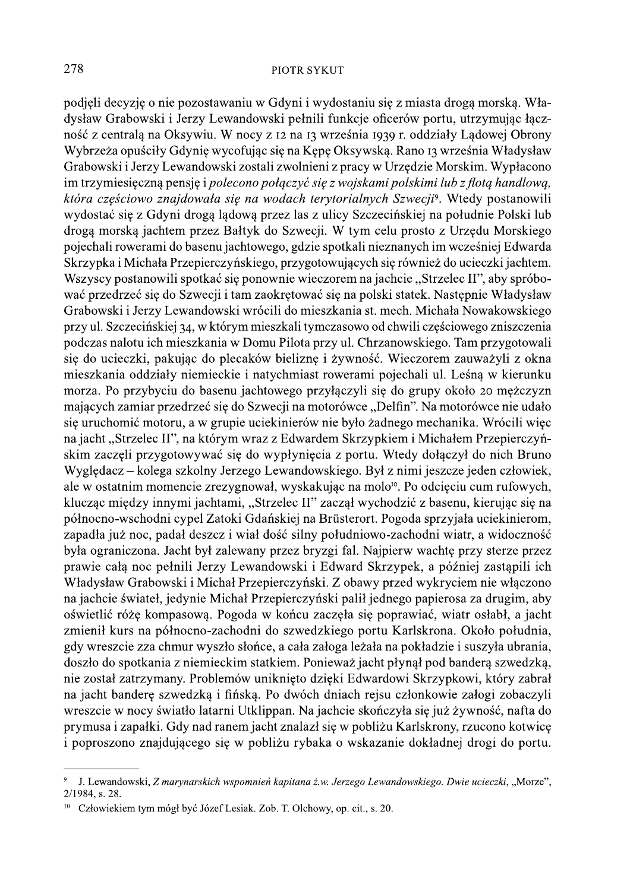podjeli decyzję o nie pozostawaniu w Gdyni i wydostaniu się z miasta drogą morską. Władysław Grabowski i Jerzy Lewandowski pełnili funkcje oficerów portu, utrzymując łączność z centralą na Oksywiu. W nocy z 12 na 13 września 1939 r. oddziały Lądowej Obrony Wybrzeża opuściły Gdynię wycofując się na Kępę Oksywską. Rano 13 września Władysław Grabowski i Jerzy Lewandowski zostali zwolnieni z pracy w Urzędzie Morskim. Wypłacono im trzymiesięczną pensię i polecono połączyć się z wojskami polskimi lub z flotą handlową, która częściowo znajdowała się na wodach terytorialnych Szwecji<sup>9</sup>. Wtedy postanowili wydostać się z Gdyni drogą lądową przez las z ulicy Szczecińskiej na południe Polski lub drogą morską jachtem przez Bałtyk do Szwecji. W tym celu prosto z Urzędu Morskiego pojechali rowerami do basenu jachtowego, gdzie spotkali nieznanych im wcześniej Edwarda Skrzypka i Michała Przepierczyńskiego, przygotowujących się również do ucieczki jachtem. Wszyscy postanowili spotkać się ponownie wieczorem na jachcie "Strzelec II", aby spróbować przedrzeć się do Szwecji i tam zaokrętować się na polski statek. Następnie Władysław Grabowski i Jerzy Lewandowski wrócili do mieszkania st. mech. Michała Nowakowskiego przy ul. Szczecińskiej 34, w którym mieszkali tymczasowo od chwili częściowego zniszczenia podczas nalotu ich mieszkania w Domu Pilota przy ul. Chrzanowskiego. Tam przygotowali się do ucieczki, pakując do plecaków bieliznę i żywność. Wieczorem zauważyli z okna mieszkania oddziały niemieckie i natychmiast rowerami pojechali ul. Leśną w kierunku morza. Po przybyciu do basenu jachtowego przyłączyli się do grupy około 20 mężczyzn mających zamiar przedrzeć się do Szwecji na motorówce "Delfin". Na motorówce nie udało się uruchomić motoru, a w grupie uciekinierów nie było żadnego mechanika. Wrócili więc na jacht "Strzelec II", na którym wraz z Edwardem Skrzypkiem i Michałem Przepierczyńskim zaczęli przygotowywać się do wypłynięcia z portu. Wtedy dołączył do nich Bruno Wyględacz – kolega szkolny Jerzego Lewandowskiego. Był z nimi jeszcze jeden człowiek, ale w ostatnim momencie zrezygnował, wyskakując na molo<sup>10</sup>. Po odcięciu cum rufowych, klucząc między innymi jachtami, "Strzelec II" zaczął wychodzić z basenu, kierując się na północno-wschodni cypel Zatoki Gdańskiej na Brüsterort. Pogoda sprzyjała uciekinierom, zapadła już noc, padał deszcz i wiał dość silny południowo-zachodni wiatr, a widoczność była ograniczona. Jacht był zalewany przez bryzgi fal. Najpierw wachtę przy sterze przez prawie całą noc pełnili Jerzy Lewandowski i Edward Skrzypek, a później zastąpili ich Władysław Grabowski i Michał Przepierczyński. Z obawy przed wykryciem nie włączono na jachcie świateł, jedynie Michał Przepierczyński palił jednego papierosa za drugim, aby oświetlić różę kompasową. Pogoda w końcu zaczęła się poprawiać, wiatr osłabł, a jacht zmienił kurs na północno-zachodni do szwedzkiego portu Karlskrona. Około południa, gdy wreszcie zza chmur wyszło słońce, a cała załoga leżała na pokładzie i suszyła ubrania, doszło do spotkania z niemieckim statkiem. Ponieważ jacht płynął pod banderą szwedzką, nie został zatrzymany. Problemów uniknięto dzięki Edwardowi Skrzypkowi, który zabrał na jacht banderę szwedzką i fińską. Po dwóch dniach rejsu członkowie załogi zobaczyli wreszcie w nocy światło latarni Utklippan. Na jachcie skończyła się już żywność, nafta do prymusa i zapałki. Gdy nad ranem jacht znalazł się w pobliżu Karlskrony, rzucono kotwicę i poproszono znajdującego się w pobliżu rybaka o wskazanie dokładnej drogi do portu.

J. Lewandowski, Z marynarskich wspomnień kapitana ż.w. Jerzego Lewandowskiego. Dwie ucieczki, "Morze", 2/1984, s. 28.

<sup>&</sup>lt;sup>10</sup> Człowiekiem tym mógł być Józef Lesiak. Zob. T. Olchowy, op. cit., s. 20.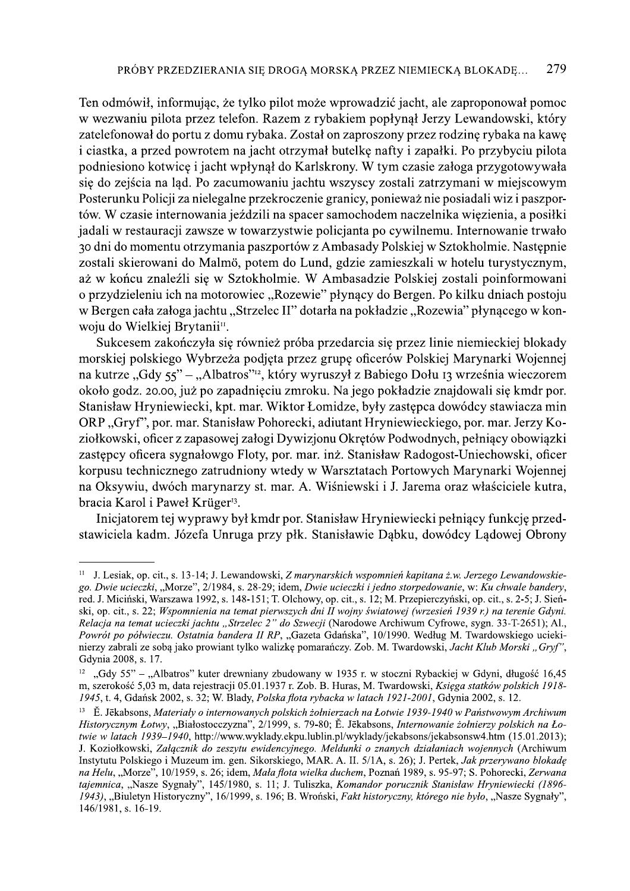Ten odmówił, informując, że tylko pilot może wprowadzić jacht, ale zaproponował pomoc w wezwaniu pilota przez telefon. Razem z rybakiem popłynął Jerzy Lewandowski, który zatelefonował do portu z domu rybaka. Został on zaproszony przez rodzinę rybaka na kawę i ciastka, a przed powrotem na jacht otrzymał butelkę nafty i zapałki. Po przybyciu pilota podniesiono kotwicę i jacht wpłynął do Karlskrony. W tym czasie załoga przygotowywała się do zejścia na ląd. Po zacumowaniu jachtu wszyscy zostali zatrzymani w miejscowym Posterunku Policii za nielegalne przekroczenie granicy, ponieważ nie posiadali wiz i paszportów. W czasie internowania jeździli na spacer samochodem naczelnika więzienia, a posiłki jadali w restauracji zawsze w towarzystwie policjanta po cywilnemu. Internowanie trwało 30 dni do momentu otrzymania paszportów z Ambasady Polskiej w Sztokholmie. Następnie zostali skierowani do Malmö, potem do Lund, gdzie zamieszkali w hotelu turystycznym, aż w końcu znaleźli się w Sztokholmie. W Ambasadzie Polskiej zostali poinformowani o przydzieleniu ich na motorowiec "Rozewie" płynący do Bergen. Po kilku dniach postoju w Bergen cała załoga jachtu "Strzelec II" dotarła na pokładzie "Rozewia" płynącego w konwoju do Wielkiej Brytanii<sup>11</sup>.

Sukcesem zakończyła się również próba przedarcia się przez linie niemieckiej blokady morskiej polskiego Wybrzeża podjęta przez grupę oficerów Polskiej Marynarki Wojennej na kutrze "Gdy 55" – "Albatros"<sup>12</sup>, który wyruszył z Babiego Dołu 13 września wieczorem około godz. 20.00, już po zapadnięciu zmroku. Na jego pokładzie znajdowali się kmdr por. Stanisław Hryniewiecki, kpt. mar. Wiktor Łomidze, były zastępca dowódcy stawiacza min ORP "Gryf", por. mar. Stanisław Pohorecki, adjutant Hryniewieckiego, por. mar. Jerzy Koziołkowski, oficer z zapasowej załogi Dywizjonu Okrętów Podwodnych, pełniący obowiązki zastępcy oficera sygnałowgo Floty, por. mar. inż. Stanisław Radogost-Uniechowski, oficer korpusu technicznego zatrudniony wtedy w Warsztatach Portowych Marynarki Wojennej na Oksywiu, dwóch marynarzy st. mar. A. Wiśniewski i J. Jarema oraz właściciele kutra, bracia Karol i Paweł Krüger<sup>13</sup>.

Inicjatorem tej wyprawy był kmdr por. Stanisław Hryniewiecki pełniący funkcję przedstawiciela kadm. Józefa Unruga przy płk. Stanisławie Dąbku, dowódcy Lądowej Obrony

<sup>&</sup>lt;sup>11</sup> J. Lesiak, op. cit., s. 13-14; J. Lewandowski, Z marynarskich wspomnień kapitana ż.w. Jerzego Lewandowskiego. Dwie ucieczki, "Morze", 2/1984, s. 28-29; idem, Dwie ucieczki i jedno storpedowanie, w: Ku chwale bandery, red. J. Miciński, Warszawa 1992, s. 148-151; T. Olchowy, op. cit., s. 12; M. Przepierczyński, op. cit., s. 2-5; J. Sieński, op. cit., s. 22; Wspomnienia na temat pierwszych dni II wojny światowej (wrzesień 1939 r.) na terenie Gdyni. Relacja na temat ucieczki jachtu "Strzelec 2" do Szwecji (Narodowe Archiwum Cyfrowe, sygn. 33-T-2651); Al., Powrót po półwieczu. Ostatnia bandera II RP, "Gazeta Gdańska", 10/1990. Według M. Twardowskiego uciekinierzy zabrali ze soba jako prowiant tylko walizke pomarańczy. Zob. M. Twardowski, Jacht Klub Morski "Gryf", Gdynia 2008, s. 17.

 $12$ "Gdy 55" - "Albatros" kuter drewniany zbudowany w 1935 r. w stoczni Rybackiej w Gdyni, długość 16,45 m, szerokość 5,03 m, data rejestracji 05.01.1937 r. Zob. B. Huras, M. Twardowski, Księga statków polskich 1918-1945, t. 4, Gdańsk 2002, s. 32; W. Blady, Polska flota rybacka w latach 1921-2001, Gdynia 2002, s. 12.

<sup>&</sup>lt;sup>13</sup> E. Jēkabsons, Materiały o internowanych polskich żołnierzach na Łotwie 1939-1940 w Państwowym Archiwum Historycznym Łotwy, "Białostocczyzna", 2/1999, s. 79-80; Ě. Jēkabsons, Internowanie żołnierzy polskich na Łotwie w latach 1939–1940, http://www.wyklady.ekpu.lublin.pl/wyklady/jekabsons/jekabsonsw4.htm (15.01.2013); J. Koziołkowski. Załacznik do zeszytu ewidencyjnego. Meldunki o znanych działaniach wojennych (Archiwum Instytutu Polskiego i Muzeum im. gen. Sikorskiego, MAR. A. II. 5/1A, s. 26); J. Pertek, Jak przerywano blokade na Helu, "Morze", 10/1959, s. 26; idem, Mała flota wielka duchem, Poznań 1989, s. 95-97; S. Pohorecki, Zerwana tajemnica, "Nasze Sygnały", 145/1980, s. 11; J. Tuliszka, Komandor porucznik Stanisław Hryniewiecki (1896-1943), "Biuletyn Historyczny", 16/1999, s. 196; B. Wroński, Fakt historyczny, którego nie było, "Nasze Sygnały", 146/1981, s. 16-19.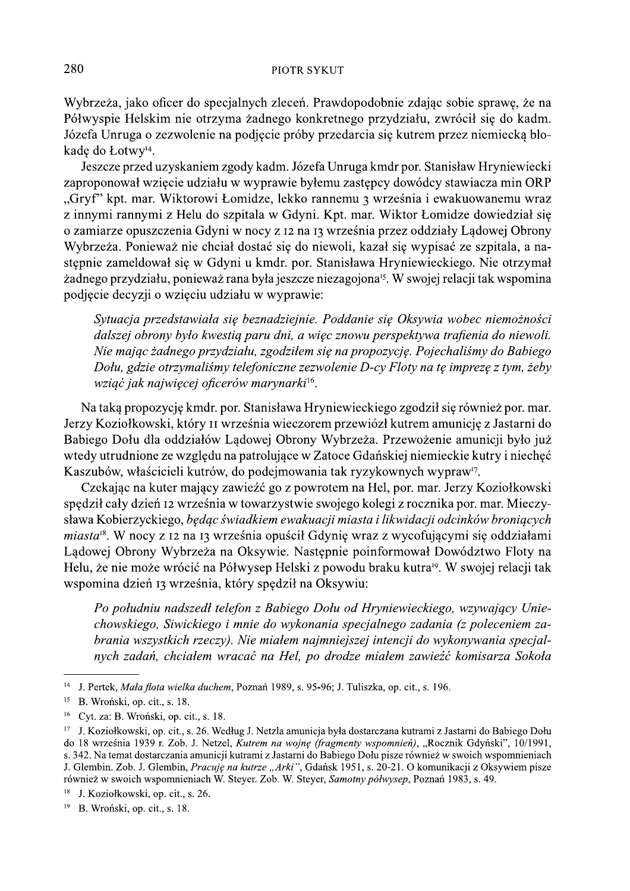Wybrzeża, jako oficer do specjalnych zleceń. Prawdopodobnie zdając sobie sprawę, że na Półwyspie Helskim nie otrzyma żadnego konkretnego przydziału, zwrócił się do kadm. Józefa Unruga o zezwolenie na podjecie próby przedarcia się kutrem przez niemiecką blokadę do Łotwy<sup>14</sup>.

Jeszcze przed uzyskaniem zgody kadm. Józefa Unruga kmdr por. Stanisław Hryniewiecki zaproponował wzięcie udziału w wyprawie byłemu zastępcy dowódcy stawiacza min ORP "Gryf" kpt. mar. Wiktorowi Łomidze, lekko rannemu 3 września i ewakuowanemu wraz z innymi rannymi z Helu do szpitala w Gdyni. Kpt. mar. Wiktor Łomidze dowiedział się o zamiarze opuszczenia Gdyni w nocy z 12 na 13 września przez oddziały Lądowej Obrony Wybrzeża. Ponieważ nie chciał dostać się do niewoli, kazał się wypisać ze szpitala, a następnie zameldował się w Gdyni u kmdr. por. Stanisława Hryniewieckiego. Nie otrzymał żadnego przydziału, ponieważ rana była jeszcze niezagojona<sup>15</sup>. W swojej relacji tak wspomina podjęcie decyzji o wzięciu udziału w wyprawie:

Sytuacja przedstawiała się beznadziejnie. Poddanie się Oksywia wobec niemożności dalszej obrony było kwestią paru dni, a więc znowu perspektywa trafienia do niewoli. Nie mając żadnego przydziału, zgodziłem się na propozycję. Pojechaliśmy do Babiego Dołu, gdzie otrzymaliśmy telefoniczne zezwolenie D-cy Floty na te impreze z tym, żeby wziąć jak najwięcej oficerów marynarki<sup>16</sup>.

Na taką propozycję kmdr. por. Stanisława Hryniewieckiego zgodził się również por. mar. Jerzy Koziołkowski, który II września wieczorem przewiózł kutrem amunicję z Jastarni do Babiego Dołu dla oddziałów Lądowej Obrony Wybrzeża. Przewożenie amunicji było już wtedy utrudnione ze względu na patrolujące w Zatoce Gdańskiej niemieckie kutry i niechęć Kaszubów, właścicieli kutrów, do podejmowania tak ryzykownych wypraw<sup>17</sup>.

Czekając na kuter mający zawieźć go z powrotem na Hel, por. mar. Jerzy Koziołkowski spędził cały dzień 12 września w towarzystwie swojego kolegi z rocznika por. mar. Mieczysława Kobierzyckiego, będąc świadkiem ewakuacji miasta i likwidacji odcinków broniących *miasta<sup>18</sup>*. W nocy z 12 na 13 września opuścił Gdynię wraz z wycofującymi się oddziałami Lądowej Obrony Wybrzeża na Oksywie. Następnie poinformował Dowództwo Floty na Helu, że nie może wrócić na Półwysep Helski z powodu braku kutra<sup>19</sup>. W swojej relacji tak wspomina dzień 13 września, który spędził na Oksywiu:

Po południu nadszedł telefon z Babiego Dołu od Hryniewieckiego, wzywający Uniechowskiego, Siwickiego i mnie do wykonania specjalnego zadania (z poleceniem zabrania wszystkich rzeczy). Nie miałem najmniejszej intencji do wykonywania specjalnych zadań, chciałem wracać na Hel, po drodze miałem zawieźć komisarza Sokoła

<sup>&</sup>lt;sup>14</sup> J. Pertek, *Mała flota wielka duchem*, Poznań 1989, s. 95-96; J. Tuliszka, op. cit., s. 196.

 $15$  B. Wroński, op. cit., s. 18.

 $16$  Cyt. za: B. Wroński, op. cit., s. 18.

<sup>&</sup>lt;sup>17</sup> J. Koziołkowski, op. cit., s. 26. Według J. Netzla amunicja była dostarczana kutrami z Jastarni do Babiego Dołu do 18 września 1939 r. Zob. J. Netzel, Kutrem na wojnę (fragmenty wspomnień), "Rocznik Gdyński", 10/1991, s. 342. Na temat dostarczania amunicji kutrami z Jastarni do Babiego Dołu pisze również w swoich wspomnieniach J. Glembin. Zob. J. Glembin, Pracuję na kutrze "Arki", Gdańsk 1951, s. 20-21. O komunikacji z Oksywiem pisze również w swoich wspomnieniach W. Steyer. Zob. W. Steyer, Samotny półwysep, Poznań 1983, s. 49.

 $18$ J. Koziołkowski, op. cit., s. 26.

 $19$ B. Wroński, op. cit., s. 18.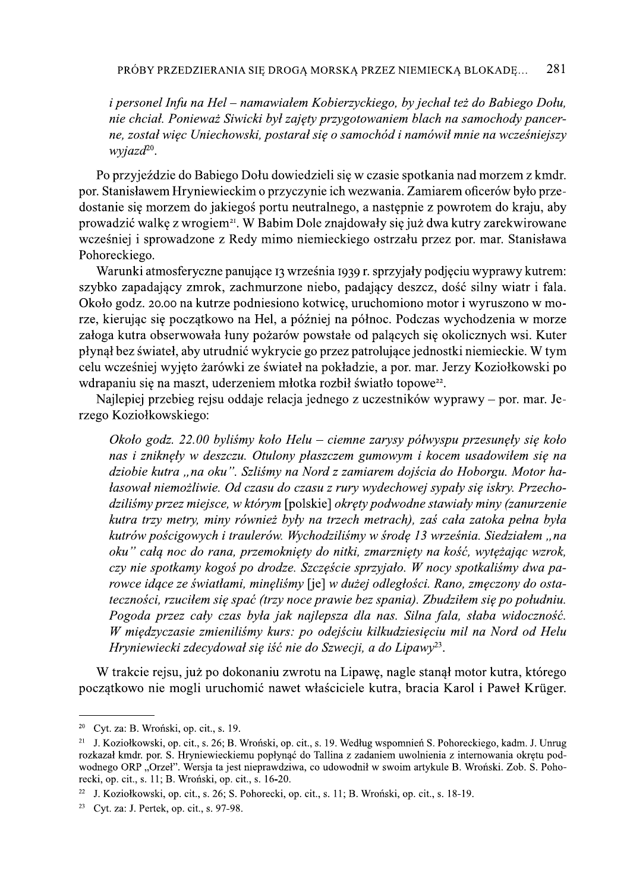PRÓBY PRZEDZIERANIA SIĘ DROGĄ MORSKĄ PRZEZ NIEMIECKĄ BLOKADĘ... 281<br> *i personel Infu na Hel – namawialem Kobierzyckiego, by jechał też do Babiego Dołu,*<br> *nie chcial. Ponieważ Siwicki był zajęty przygotowaniem blach na s* Po przyjeździe do Babiego Dołu dowiedzieli się w czasie spotkania nad morzem z kmdr. por. Stanisławem Hryniewieckim o przyczynie ich wezwania. Zamiarem oficerów było przedostanie się morzem do jakiegoś portu neutralnego, a następnie z powrotem do kraju, aby prowadzić walkę z wrogiem<sup>21</sup>. W Babim Dole znajdowały się już dwa kutry zarekwirowane wcześniej i sprowadzone z Redy mimo niemieckiego ostrzału przez por. mar. Stanisława Pohoreckiego.

Warunki atmosferyczne panujące 13 września 1939 r. sprzyjały podjęciu wyprawy kutrem: szybko zapadający zmrok, zachmurzone niebo, padający deszcz, dość silny wiatr i fala. Około godz. 20.00 na kutrze podniesiono kotwicę, uruchomiono motor i wyruszono w morze, kierując się początkowo na Hel, a później na północ. Podczas wychodzenia w morze załoga kutra obserwowała łuny pożarów powstałe od palących się okolicznych wsi. Kuter płynął bez świateł, aby utrudnić wykrycie go przez patrolujące jednostki niemieckie. W tym celu wcześniej wyjęto żarówki ze świateł na pokładzie, a por. mar. Jerzy Koziołkowski po wdrapaniu się na maszt, uderzeniem młotka rozbił światło topowe<sup>22</sup>.

Najlepiej przebieg rejsu oddaje relacja jednego z uczestników wyprawy – por. mar. Jerzego Koziołkowskiego:

rze, kierując się początkowo na Hel, a później na północ. Podczas wychodzenia w morze załoga kutra obserwowała łuny pożarów powstałe od palących się okolicznych wsi. Kuter płynął bez świateł, aby utrudnić wykrycie go przez rowce idące ze światłami, minęliśmy [je] w dużej odległości. Rano, zmęczony do ostateczności, rzuciłem się spać (trzy noce prawie bez spania). Zbudziłem się po południu. Pogoda przez cały czas była jak najlepsza dla nas. Silna fala, słaba widoczność. W międzyczasie zmieniliśmy kurs: po odejściu kilkudziesięciu mil na Nord od Helu Hryniewiecki zdecydował się iść nie do Szwecji, a do Lipawy<sup>23</sup>.

W trakcie rejsu, już po dokonaniu zwrotu na Lipawę, nagle stanął motor kutra, którego początkowo nie mogli uruchomić nawet właściciele kutra, bracia Karol i Paweł Krüger.

<sup>&</sup>lt;sup>20</sup> Cyt. za: B. Wroński, op. cit., s. 19.

<sup>&</sup>lt;sup>21</sup> J. Koziołkowski, op. cit., s. 26; B. Wroński, op. cit., s. 19. Według wspomnień S. Pohoreckiego, kadm. J. Unrug rozkazał kmdr. por. S. Hryniewieckiemu popłynąć do Tallina z zadaniem uwolnienia z internowania okrętu podwodnego ORP "Orzeł". Wersja ta jest nieprawdziwa, co udowodnił w swoim artykule B. Wroński. Zob. S. Pohorecki, op. cit., s. 11; B. Wronski, op. cit., s. 16-20.

<sup>&</sup>lt;sup>22</sup> J. Koziołkowski, op. cit., s. 26; S. Pohorecki, op. cit., s. 11; B. Wroński, op. cit., s. 18-19.

<sup>&</sup>lt;sup>23</sup> Cyt. za: J. Pertek, op. cit., s. 97-98.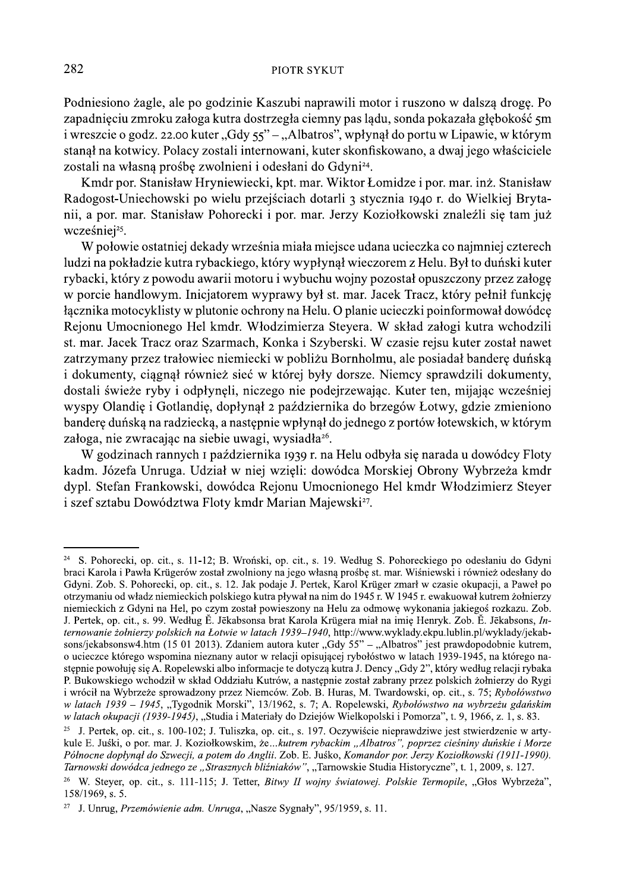Podniesiono żagle, ale po godzinie Kaszubi naprawili motor i ruszono w dalszą drogę. Po zapadnięciu zmroku załoga kutra dostrzegła ciemny pas lądu, sonda pokazała głębokość 5m i wreszcie o godz. 22.00 kuter "Gdy 55" – "Albatros", wpłynął do portu w Lipawie, w którym stanął na kotwicy. Polacy zostali internowani, kuter skonfiskowano, a dwaj jego właściciele zostali na własną prośbę zwolnieni i odesłani do Gdyni<sup>24</sup>.

Kmdr por. Stanisław Hryniewiecki, kpt. mar. Wiktor Łomidze i por. mar. inż. Stanisław Radogost-Uniechowski po wielu przejściach dotarli 3 stycznia 1940 r. do Wielkiej Brytanii, a por. mar. Stanisław Pohorecki i por. mar. Jerzy Koziołkowski znaleźli się tam już wcześniej<sup>25</sup>.

W połowie ostatniej dekady września miała miejsce udana ucieczka co najmniej czterech ludzi na pokładzie kutra rybackiego, który wypłynął wieczorem z Helu. Był to duński kuter rybacki, który z powodu awarii motoru i wybuchu wojny pozostał opuszczony przez załogę w porcie handlowym. Inicjatorem wyprawy był st. mar. Jacek Tracz, który pełnił funkcję łącznika motocyklisty w plutonie ochrony na Helu. O planie ucieczki poinformował dowódcę Rejonu Umocnionego Hel kmdr. Włodzimierza Steyera. W skład załogi kutra wchodzili st. mar. Jacek Tracz oraz Szarmach, Konka i Szyberski. W czasie rejsu kuter został nawet zatrzymany przez trałowiec niemiecki w pobliżu Bornholmu, ale posiadał banderę duńską i dokumenty, ciągnął również sieć w której były dorsze. Niemcy sprawdzili dokumenty, dostali świeże ryby i odpłynęli, niczego nie podejrzewając. Kuter ten, mijając wcześniej wyspy Olandię i Gotlandię, dopłynął 2 października do brzegów Łotwy, gdzie zmieniono bandere duńską na radziecką, a następnie wpłynął do jednego z portów łotewskich, w którym załoga, nie zwracając na siebie uwagi, wysiadła<sup>26</sup>.

W godzinach rannych I października 1939 r. na Helu odbyła się narada u dowódcy Floty kadm. Józefa Unruga. Udział w niej wzięli: dowódca Morskiej Obrony Wybrzeża kmdr dypl. Stefan Frankowski, dowódca Rejonu Umocnionego Hel kmdr Włodzimierz Steyer i szef sztabu Dowództwa Floty kmdr Marian Majewski<sup>27</sup>.

<sup>&</sup>lt;sup>24</sup> S. Pohorecki, op. cit., s. 11-12; B. Wroński, op. cit., s. 19. Według S. Pohoreckiego po odesłaniu do Gdyni braci Karola i Pawła Krügerów został zwolniony na jego własną prośbę st. mar. Wiśniewski i również odesłany do Gdyni. Zob. S. Pohorecki, op. cit., s. 12. Jak podaje J. Pertek, Karol Krüger zmarł w czasie okupacji, a Paweł po otrzymaniu od władz niemieckich polskiego kutra pływał na nim do 1945 r. W 1945 r. ewakuował kutrem żołnierzy niemieckich z Gdyni na Hel, po czym został powieszony na Helu za odmowe wykonania jakiegoś rozkazu. Zob. J. Pertek, op. cit., s. 99. Według E. Jēkabsonsa brat Karola Krügera miał na imie Henryk. Zob. E. Jēkabsons, Internowanie żołnierzy polskich na Łotwie w latach 1939–1940, http://www.wyklady.ekpu.lublin.pl/wyklady/jekabsons/jekabsonsw4.htm (15 01 2013). Zdaniem autora kuter "Gdy 55" – "Albatros" jest prawdopodobnie kutrem, o ucieczce którego wspomina nieznany autor w relacji opisującej rybołóstwo w latach 1939-1945, na którego następnie powołuję się A. Ropelewski albo informacje te dotyczą kutra J. Dency "Gdy 2", który według relacji rybaka P. Bukowskiego wchodził w skład Oddziału Kutrów, a następnie został zabrany przez polskich żołnierzy do Rygi i wrócił na Wybrzeże sprowadzony przez Niemców. Zob. B. Huras, M. Twardowski, op. cit., s. 75; Rybołówstwo w latach 1939 – 1945, "Tygodnik Morski", 13/1962, s. 7; A. Ropelewski, Rybołówstwo na wybrzeżu gdańskim w latach okupacji (1939-1945), "Studia i Materiały do Dziejów Wielkopolski i Pomorza", t. 9, 1966, z. 1, s. 83.

<sup>&</sup>lt;sup>25</sup> J. Pertek, op. cit., s. 100-102; J. Tuliszka, op. cit., s. 197. Oczywiście nieprawdziwe jest stwierdzenie w artykule E. Juśki, o por. mar. J. Koziołkowskim, że...kutrem rybackim "Albatros", poprzez cieśniny duńskie i Morze Północne dopłynął do Szwecji, a potem do Anglii. Zob. E. Juśko, Komandor por. Jerzy Koziołkowski (1911-1990). Tarnowski dowódca jednego ze "Strasznych bliźniaków", "Tarnowskie Studia Historyczne", t. 1, 2009, s. 127.

<sup>&</sup>lt;sup>26</sup> W. Stever, op. cit., s. 111-115; J. Tetter, Bitwy II wojny światowej. Polskie Termopile, "Głos Wybrzeża", 158/1969, s. 5.

<sup>&</sup>lt;sup>27</sup> J. Unrug, *Przemówienie adm. Unruga*, "Nasze Sygnały", 95/1959, s. 11.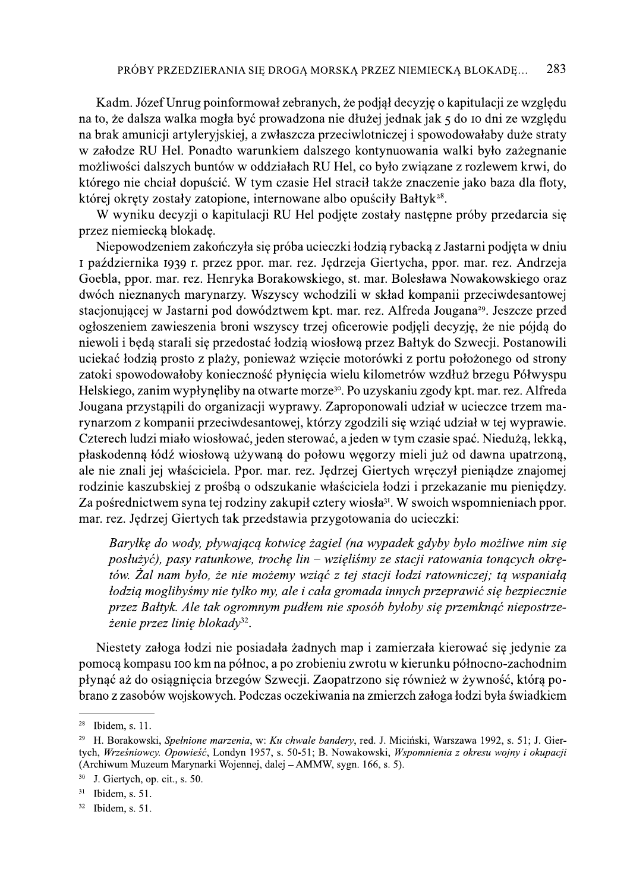Kadm. Józef Unrug poinformował zebranych, że podjął decyzję o kapitulacji ze względu na to, że dalsza walka mogła być prowadzona nie dłużej jednak jak 5 do 10 dni ze względu na brak amunicji artyleryjskiej, a zwłaszcza przeciwlotniczej i spowodowałaby duże straty w załodze RU Hel. Ponadto warunkiem dalszego kontynuowania walki było zażegnanie możliwości dalszych buntów w oddziałach RU Hel, co było związane z rozlewem krwi, do którego nie chciał dopuścić. W tym czasie Hel stracił także znaczenie jako baza dla floty, której okręty zostały zatopione, internowane albo opuściły Bałtyk<sup>28</sup>.

W wyniku decyzji o kapitulacji RU Hel podjęte zostały następne próby przedarcia się przez niemiecką blokadę.

Niepowodzeniem zakończyła się próba ucieczki łodzią rybacką z Jastarni podjęta w dniu I października 1939 r. przez ppor. mar. rez. Jędrzeja Giertycha, ppor. mar. rez. Andrzeja Goebla, ppor. mar. rez. Henryka Borakowskiego, st. mar. Bolesława Nowakowskiego oraz dwóch nieznanych marynarzy. Wszyscy wchodzili w skład kompanii przeciwdesantowej stacjonującej w Jastarni pod dowództwem kpt. mar. rez. Alfreda Jougana<sup>29</sup>. Jeszcze przed ogłoszeniem zawieszenia broni wszyscy trzej oficerowie podjęli decyzję, że nie pójdą do niewoli i będą starali się przedostać łodzią wiosłową przez Bałtyk do Szwecji. Postanowili uciekać łodzią prosto z plaży, ponieważ wzięcie motorówki z portu położonego od strony zatoki spowodowałoby konieczność płynięcia wielu kilometrów wzdłuż brzegu Półwyspu Helskiego, zanim wypłynęliby na otwarte morze<sup>30</sup>. Po uzyskaniu zgody kpt. mar. rez. Alfreda Jougana przystąpili do organizacji wyprawy. Zaproponowali udział w ucieczce trzem marynarzom z kompanii przeciwdesantowej, którzy zgodzili się wziąć udział w tej wyprawie. Czterech ludzi miało wiosłować, jeden sterować, a jeden w tym czasie spać. Niedużą, lekką, płaskodenną łódź wiosłową używaną do połowu węgorzy mieli już od dawna upatrzoną, ale nie znali jej właściciela. Ppor. mar. rez. Jędrzej Giertych wręczył pieniądze znajomej rodzinie kaszubskiej z prośbą o odszukanie właściciela łodzi i przekazanie mu pieniędzy. Za pośrednictwem syna tej rodziny zakupił cztery wiosła<sup>31</sup>. W swoich wspomnieniach ppor. mar. rez. Jędrzej Giertych tak przedstawia przygotowania do ucieczki:

Baryłkę do wody, pływającą kotwicę żagiel (na wypadek gdyby było możliwe nim się posłużyć), pasy ratunkowe, trochę lin – wzięliśmy ze stacji ratowania tonących okrętów. Żal nam było, że nie możemy wziąć z tej stacji łodzi ratowniczej; tą wspaniałą łodzią moglibyśmy nie tylko my, ale i cała gromada innych przeprawić się bezpiecznie przez Bałtyk. Ale tak ogromnym pudłem nie sposób byłoby się przemknąć niepostrzeżenie przez linię blokady<sup>32</sup>.

Niestety załoga łodzi nie posiadała żadnych map i zamierzała kierować się jedynie za pomocą kompasu 100 km na północ, a po zrobieniu zwrotu w kierunku północno-zachodnim płynąć aż do osiągnięcia brzegów Szwecji. Zaopatrzono się również w żywność, którą pobrano z zasobów wojskowych. Podczas oczekiwania na zmierzch załoga łodzi była świadkiem

 $28$  Ibidem, s. 11.

<sup>&</sup>lt;sup>29</sup> H. Borakowski, Spełnione marzenia, w: Ku chwale bandery, red. J. Miciński, Warszawa 1992, s. 51; J. Giertych, Wrześniowcy. Opowieść, Londyn 1957, s. 50-51; B. Nowakowski, Wspomnienia z okresu wojny i okupacji (Archiwum Muzeum Marynarki Wojennej, dalej - AMMW, sygn. 166, s. 5).

<sup>30</sup> J. Giertych, op. cit., s. 50.

 $31\,$ Ibidem, s. 51.

<sup>32</sup> Ibidem. s. 51.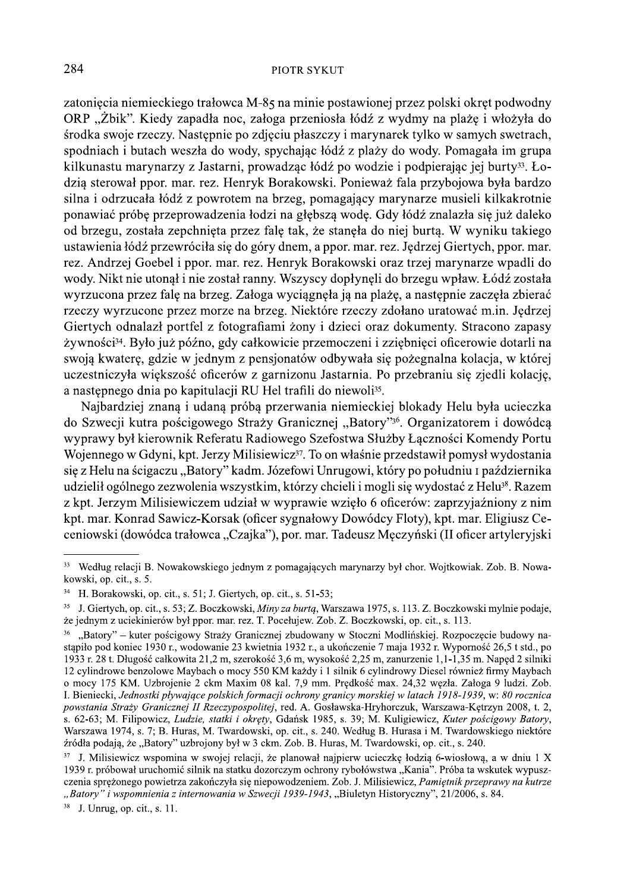zatoniecia niemieckiego trałowca M-85 na minie postawionej przez polski okręt podwodny ORP "Żbik". Kiedy zapadła noc, załoga przeniosła łódź z wydmy na plażę i włożyła do środka swoje rzeczy. Następnie po zdjęciu płaszczy i marynarek tylko w samych swetrach, spodniach i butach weszła do wody, spychając łódź z plaży do wody. Pomagała im grupa kilkunastu marynarzy z Jastarni, prowadząc łódź po wodzie i podpierając jej burty<sup>33</sup>. Łodzią sterował ppor. mar. rez. Henryk Borakowski. Ponieważ fala przybojowa była bardzo silna i odrzucała łódź z powrotem na brzeg, pomagający marynarze musieli kilkakrotnie ponawiać próbę przeprowadzenia łodzi na głębszą wodę. Gdy łódź znalazła się już daleko od brzegu, została zepchnieta przez fale tak, że staneła do niej burta. W wyniku takiego ustawienia łódź przewróciła się do góry dnem, a ppor. mar. rez. Jędrzej Giertych, ppor. mar. rez. Andrzej Goebel i ppor. mar. rez. Henryk Borakowski oraz trzej marynarze wpadli do wody. Nikt nie utonął i nie został ranny. Wszyscy dopłynęli do brzegu wpław. Łódź została wyrzucona przez falę na brzeg. Załoga wyciągnęła ją na plażę, a następnie zaczęła zbierać rzeczy wyrzucone przez morze na brzeg. Niektóre rzeczy zdołano uratować m.in. Jędrzej Giertych odnalazł portfel z fotografiami żony i dzieci oraz dokumenty. Stracono zapasy żywności<sup>34</sup>. Było już późno, gdy całkowicie przemoczeni i zziębnięci oficerowie dotarli na swoją kwaterę, gdzie w jednym z pensjonatów odbywała się pożegnalna kolacja, w której uczestniczyła większość oficerów z garnizonu Jastarnia. Po przebraniu się zjedli kolację, a następnego dnia po kapitulacji RU Hel trafili do niewoli<sup>35</sup>.

Najbardziej znaną i udaną próbą przerwania niemieckiej blokady Helu była ucieczka do Szwecji kutra pościgowego Straży Granicznej "Batory"<sup>36</sup>. Organizatorem i dowódcą wyprawy był kierownik Referatu Radiowego Szefostwa Służby Łaczności Komendy Portu Wojennego w Gdyni, kpt. Jerzy Milisiewicz<sup>37</sup>. To on właśnie przedstawił pomysł wydostania się z Helu na ścigaczu "Batory" kadm. Józefowi Unrugowi, który po południu z października udzielił ogólnego zezwolenia wszystkim, którzy chcieli i mogli się wydostać z Helu<sup>38</sup>. Razem z kpt. Jerzym Milisiewiczem udział w wyprawie wzięło 6 oficerów: zaprzyjaźniony z nim kpt. mar. Konrad Sawicz-Korsak (oficer sygnałowy Dowódcy Floty), kpt. mar. Eligiusz Ceceniowski (dowódca trałowca "Czajka"), por. mar. Tadeusz Męczyński (II oficer artyleryjski

<sup>&</sup>lt;sup>33</sup> Według relacji B. Nowakowskiego jednym z pomagających marynarzy był chor. Wojtkowiak. Zob. B. Nowakowski, op. cit., s. 5.

<sup>34</sup> H. Borakowski, op. cit., s. 51; J. Giertych, op. cit., s. 51-53;

<sup>&</sup>lt;sup>35</sup> J. Giertych, op. cit., s. 53; Z. Boczkowski, *Miny za burta*, Warszawa 1975, s. 113. Z. Boczkowski mylnie podaje, ze jednym z uciekinierów był ppor. mar. rez. T. Pocełujew. Zob. Z. Boczkowski, op. cit., s. 113.

<sup>&</sup>quot;Batory" – kuter pościgowy Straży Granicznej zbudowany w Stoczni Modlińskiej. Rozpoczęcie budowy nastapiło pod koniec 1930 r., wodowanie 23 kwietnia 1932 r., a ukończenie 7 maja 1932 r. Wyporność 26,5 t std., po 1933 r. 28 t. Długość całkowita 21,2 m, szerokość 3,6 m, wysokość 2,25 m, zanurzenie 1,1-1,35 m. Naped 2 silniki 12 cylindrowe benzolowe Maybach o mocy 550 KM każdy i 1 silnik 6 cylindrowy Diesel również firmy Maybach o mocy 175 KM. Uzbrojenie 2 ckm Maxim 08 kal. 7,9 mm. Prędkość max. 24,32 węzła. Załoga 9 ludzi. Zob. I. Bieniecki, Jednostki pływające polskich formacji ochrony granicy morskiej w latach 1918-1939, w: 80 rocznica powstania Straży Granicznej II Rzeczypospolitej, red. A. Gosławska-Hryhorczuk, Warszawa-Kętrzyn 2008, t. 2, s. 62-63; M. Filipowicz, Ludzie, statki i okręty, Gdańsk 1985, s. 39; M. Kuligiewicz, Kuter pościgowy Batory, Warszawa 1974, s. 7; B. Huras, M. Twardowski, op. cit., s. 240. Według B. Hurasa i M. Twardowskiego niektóre źródła podają, że "Batory" uzbrojony był w 3 ckm. Zob. B. Huras, M. Twardowski, op. cit., s. 240.

 $37$  J. Milisiewicz wspomina w swojej relacji, że planował najpierw ucieczkę łodzią 6-wiosłową, a w dniu 1 X 1939 r. próbował uruchomić silnik na statku dozorczym ochrony rybołówstwa "Kania". Próba ta wskutek wypuszczenia sprężonego powietrza zakończyła się niepowodzeniem. Zob. J. Milisiewicz, Pamietnik przeprawy na kutrze "Batory" i wspomnienia z internowania w Szwecji 1939-1943, "Biuletyn Historyczny", 21/2006, s. 84.

 $38$  J. Unrug. op. cit., s. 11.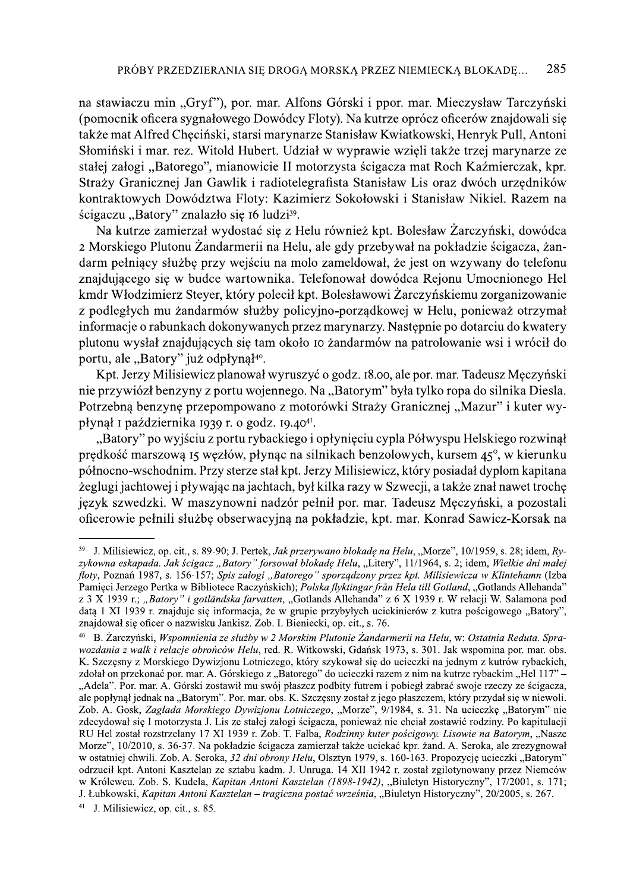na stawiaczu min "Gryf"), por. mar. Alfons Górski i ppor. mar. Mieczysław Tarczyński (pomocnik oficera sygnałowego Dowódcy Floty). Na kutrze oprócz oficerów znajdowali się także mat Alfred Checiński, starsi marynarze Stanisław Kwiatkowski, Henryk Pull, Antoni Słomiński i mar. rez. Witold Hubert. Udział w wyprawie wzięli także trzej marynarze ze stałej załogi "Batorego", mianowicie II motorzysta ścigacza mat Roch Kaźmierczak, kpr. Straży Granicznej Jan Gawlik i radiotelegrafista Stanisław Lis oraz dwóch urzędników kontraktowych Dowództwa Floty: Kazimierz Sokołowski i Stanisław Nikiel. Razem na ścigaczu "Batory" znalazło się 16 ludzi<sup>39</sup>.

Na kutrze zamierzał wydostać się z Helu również kpt. Bolesław Żarczyński, dowódca 2 Morskiego Plutonu Żandarmerii na Helu, ale gdy przebywał na pokładzie ścigacza, żandarm pełniący służbę przy wejściu na molo zameldował, że jest on wzywany do telefonu znajdującego się w budce wartownika. Telefonował dowódca Rejonu Umocnionego Hel kmdr Włodzimierz Steyer, który polecił kpt. Bolesławowi Żarczyńskiemu zorganizowanie z podległych mu żandarmów służby policyjno-porządkowej w Helu, ponieważ otrzymał informacje o rabunkach dokonywanych przez marynarzy. Następnie po dotarciu do kwatery plutonu wysłał znajdujących się tam około 10 żandarmów na patrolowanie wsi i wrócił do portu, ale "Batory" już odpłynął<sup>40</sup>.

Kpt. Jerzy Milisiewicz planował wyruszyć o godz. 18.00, ale por. mar. Tadeusz Męczyński nie przywiózł benzyny z portu wojennego. Na "Batorym" była tylko ropa do silnika Diesla. Potrzebną benzynę przepompowano z motorówki Straży Granicznej "Mazur" i kuter wypłynął I października 1939 r. o godz. 19.40<sup>41</sup>.

"Batory" po wyjściu z portu rybackiego i opłynięciu cypla Półwyspu Helskiego rozwinął prędkość marszową 15 węzłów, płynąc na silnikach benzolowych, kursem 45°, w kierunku północno-wschodnim. Przy sterze stał kpt. Jerzy Milisiewicz, który posiadał dyplom kapitana żeglugi jachtowej i pływając na jachtach, był kilka razy w Szwecji, a także znał nawet trochę język szwedzki. W maszynowni nadzór pełnił por. mar. Tadeusz Męczyński, a pozostali oficerowie pełnili służbę obserwacyjną na pokładzie, kpt. mar. Konrad Sawicz-Korsak na

<sup>&</sup>lt;sup>39</sup> J. Milisiewicz, op. cit., s. 89-90; J. Pertek, Jak przerywano blokadę na Helu, "Morze", 10/1959, s. 28; idem, Ryzykowna eskapada. Jak ścigacz "Batory" forsował blokadę Helu, "Litery", 11/1964, s. 2; idem, Wielkie dni małej floty, Poznań 1987, s. 156-157; Spis załogi "Batorego" sporządzony przez kpt. Milisiewicza w Klintehamn (Izba<br>Pamięci Jerzego Pertka w Bibliotece Raczyńskich); Polska flyktingar från Hela till Gotland, "Gotlands Allehanda" z 3 X 1939 r.; "Batory" i gotländska farvatten, "Gotlands Allehanda" z 6 X 1939 r. W relacji W. Salamona pod datą 1 XI 1939 r. znajduje się informacja, że w grupie przybyłych uciekinierów z kutra pościgowego "Batory", znajdował się oficer o nazwisku Jankisz. Zob. I. Bieniecki, op. cit., s. 76.

B. Zarczyński, Wspomnienia ze służby w 2 Morskim Plutonie Żandarmerii na Helu, w: Ostatnia Reduta. Sprawozdania z walk i relacje obrońców Helu, red. R. Witkowski, Gdańsk 1973, s. 301. Jak wspomina por. mar. obs. K. Szczęsny z Morskiego Dywizjonu Lotniczego, który szykował się do ucieczki na jednym z kutrów rybackich, zdołał on przekonać por. mar. A. Górskiego z "Batorego" do ucieczki razem z nim na kutrze rybackim "Hel 117" – "Adela". Por. mar. A. Górski zostawił mu swój płaszcz podbity futrem i pobiegł zabrać swoje rzeczy ze ścigacza, ale popłynął jednak na "Batorym". Por. mar. obs. K. Szczęsny został z jego płaszczem, który przydał się w niewoli. Zob. A. Gosk, Zagłada Morskiego Dywizjonu Lotniczego, "Morze", 9/1984, s. 31. Na ucieczkę "Batorym" nie zdecydował się I motorzysta J. Lis ze stałej załogi ścigacza, ponieważ nie chciał zostawić rodziny. Po kapitulacji RU Hel został rozstrzelany 17 XI 1939 r. Zob. T. Falba, Rodzinny kuter pościgowy. Lisowie na Batorym, "Nasze Morze", 10/2010, s. 36-37. Na pokładzie ścigacza zamierzał także uciekać kpr. żand. A. Seroka, ale zrezygnował w ostatniej chwili. Zob. A. Seroka, 32 dni obrony Helu, Olsztyn 1979, s. 160-163. Propozycję ucieczki "Batorym" odrzucił kpt. Antoni Kasztelan ze sztabu kadm. J. Unruga. 14 XII 1942 r. został zgilotynowany przez Niemców w Królewcu. Zob. S. Kudela, Kapitan Antoni Kasztelan (1898-1942), "Biuletyn Historyczny", 17/2001, s. 171; J. Łubkowski, Kapitan Antoni Kasztelan – tragiczna postać września, "Biuletyn Historyczny", 20/2005, s. 267.

 $41$  J. Milisiewicz, op. cit., s. 85.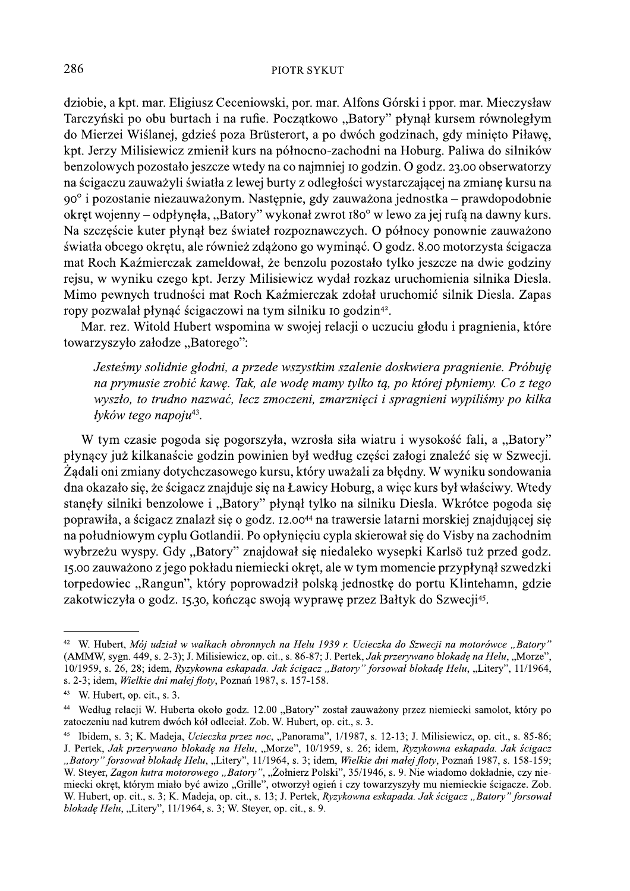dziobie, a kpt. mar. Eligiusz Ceceniowski, por. mar. Alfons Górski i ppor. mar. Mieczysław Tarczyński po obu burtach i na rufie. Początkowo "Batory" płynął kursem równoległym do Mierzei Wiślanej, gdzieś poza Brüsterort, a po dwóch godzinach, gdy minieto Piławe, kpt. Jerzy Milisiewicz zmienił kurs na północno-zachodni na Hoburg. Paliwa do silników benzolowych pozostało jeszcze wtedy na co najmniej 10 godzin. O godz. 23.00 obserwatorzy na ścigaczu zauważyli światła z lewej burty z odległości wystarczającej na zmianę kursu na  $90^{\circ}$  i pozostanie niezauważonym. Następnie, gdy zauważona jednostka – prawdopodobnie okręt wojenny – odpłynęła, "Batory" wykonał zwrot 180° w lewo za jej rufą na dawny kurs. Na szczęście kuter płynął bez świateł rozpoznawczych. O północy ponownie zauważono światła obcego okrętu, ale również zdążono go wyminąć. O godz. 8.00 motorzysta ścigacza mat Roch Kaźmierczak zameldował, że benzolu pozostało tylko jeszcze na dwie godziny rejsu, w wyniku czego kpt. Jerzy Milisiewicz wydał rozkaz uruchomienia silnika Diesla. Mimo pewnych trudności mat Roch Kaźmierczak zdołał uruchomić silnik Diesla. Zapas ropy pozwalał płynąć ścigaczowi na tym silniku 10 godzin<sup>42</sup>.

Mar. rez. Witold Hubert wspomina w swojej relacji o uczuciu głodu i pragnienia, które towarzyszyło załodze "Batorego":

Jesteśmy solidnie głodni, a przede wszystkim szalenie doskwiera pragnienie. Próbuje na prymusie zrobić kawę. Tak, ale wodę mamy tylko tą, po której płyniemy. Co z tego wyszło, to trudno nazwać, lecz zmoczeni, zmarznięci i spragnieni wypiliśmy po kilka łyków tego napoju<sup>43</sup>.

W tym czasie pogoda się pogorszyła, wzrosła siła wiatru i wysokość fali, a "Batory" płynący już kilkanaście godzin powinien był według części załogi znaleźć się w Szwecji. Żądali oni zmiany dotychczasowego kursu, który uważali za błędny. W wyniku sondowania dna okazało się, że ścigacz znajduje się na Ławicy Hoburg, a więc kurs był właściwy. Wtedy stanęły silniki benzolowe i "Batory" płynął tylko na silniku Diesla. Wkrótce pogoda się poprawiła, a ścigacz znalazł się o godz. 12.00<sup>44</sup> na trawersie latarni morskiej znajdującej się na południowym cyplu Gotlandii. Po opłynięciu cypla skierował się do Visby na zachodnim wybrzeżu wyspy. Gdy "Batory" znajdował się niedaleko wysepki Karlsö tuż przed godz. 15.00 zauważono z jego pokładu niemiecki okręt, ale w tym momencie przypłynął szwedzki torpedowiec "Rangun", który poprowadził polską jednostkę do portu Klintehamn, gdzie zakotwiczyła o godz. 15.30, kończąc swoją wyprawę przez Bałtyk do Szwecji<sup>45</sup>.

<sup>42</sup> W. Hubert, Mój udział w walkach obronnych na Helu 1939 r. Ucieczka do Szwecji na motorówce "Batory" (AMMW, svgn. 449, s. 2-3); J. Milisiewicz, op. cit., s. 86-87; J. Pertek, *Jak przerywano blokade na Helu*, "Morze", 10/1959, s. 26, 28; idem, Ryzykowna eskapada. Jak ścigacz "Batory" forsował blokade Helu, "Litery", 11/1964, s. 2-3; idem, Wielkie dni małej floty, Poznań 1987, s. 157-158.

 $43$  W. Hubert, op. cit., s. 3.

<sup>&</sup>lt;sup>44</sup> Według relacji W. Huberta około godz. 12.00 "Batory" został zauważony przez niemiecki samolot, który po zatoczeniu nad kutrem dwóch kół odleciał. Zob. W. Hubert, op. cit., s. 3.

Ibidem, s. 3; K. Madeja, Ucieczka przez noc, "Panorama", 1/1987, s. 12-13; J. Milisiewicz, op. cit., s. 85-86; 45 J. Pertek, Jak przerywano blokadę na Helu, "Morze", 10/1959, s. 26; idem, Ryzykowna eskapada. Jak ścigacz "Batory" forsował blokadę Helu, "Litery", 11/1964, s. 3; idem, Wielkie dni małej floty, Poznań 1987, s. 158-159; W. Steyer, Zagon kutra motorowego "Batory", "Żołnierz Polski", 35/1946, s. 9. Nie wiadomo dokładnie, czy nie-<br>miecki okręt, którym miało być awizo "Grille", otworzył ogień i czy towarzyszyły mu niemieckie ścigacze. Zob. W. Hubert, op. cit., s. 3; K. Madeja, op. cit., s. 13; J. Pertek, Ryzykowna eskapada. Jak ścigacz "Batory" forsował blokade Helu, "Litery", 11/1964, s. 3; W. Steyer, op. cit., s. 9.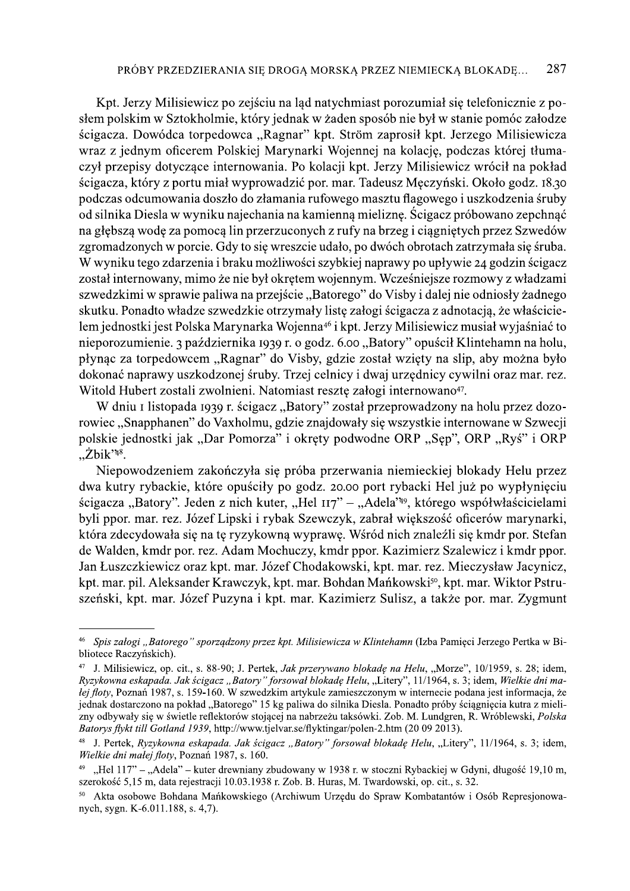Kpt. Jerzy Milisiewicz po zejściu na ląd natychmiast porozumiał się telefonicznie z posłem polskim w Sztokholmie, który jednak w żaden sposób nie był w stanie pomóc załodze ścigacza. Dowódca torpedowca "Ragnar" kpt. Ström zaprosił kpt. Jerzego Milisiewicza wraz z jednym oficerem Polskiej Marynarki Wojennej na kolację, podczas której tłumaczył przepisy dotyczące internowania. Po kolacji kpt. Jerzy Milisiewicz wrócił na pokład ścigacza, który z portu miał wyprowadzić por. mar. Tadeusz Męczyński. Około godz. 18.30 podczas odcumowania doszło do złamania rufowego masztu flagowego i uszkodzenia śruby od silnika Diesla w wyniku najechania na kamienną mieliznę. Ścigacz próbowano zepchnąć na głębszą wodę za pomocą lin przerzuconych z rufy na brzeg i ciągniętych przez Szwedów zgromadzonych w porcie. Gdy to się wreszcie udało, po dwóch obrotach zatrzymała się śruba. W wyniku tego zdarzenia i braku możliwości szybkiej naprawy po upływie 24 godzin ścigacz został internowany, mimo że nie był okrętem wojennym. Wcześniejsze rozmowy z władzami szwedzkimi w sprawie paliwa na przejście "Batorego" do Visby i dalej nie odniosły żadnego skutku. Ponadto władze szwedzkie otrzymały listę załogi ścigacza z adnotacją, że właścicielem jednostki jest Polska Marynarka Wojenna<sup>46</sup> i kpt. Jerzy Milisiewicz musiał wyjaśniać to nieporozumienie. 3 października 1939 r. o godz. 6.00 "Batory" opuścił Klintehamn na holu, płynąc za torpedowcem "Ragnar" do Visby, gdzie został wzięty na slip, aby można było dokonać naprawy uszkodzonej śruby. Trzej celnicy i dwaj urzędnicy cywilni oraz mar. rez. Witold Hubert zostali zwolnieni. Natomiast resztę załogi internowano<sup>47</sup>.

W dniu I listopada 1939 r. ścigacz "Batory" został przeprowadzony na holu przez dozorowiec "Snapphanen" do Vaxholmu, gdzie znajdowały się wszystkie internowane w Szwecji polskie jednostki jak "Dar Pomorza" i okręty podwodne ORP "Sęp", ORP "Ryś" i ORP  $Z$ bik'<sup>48</sup>.

Niepowodzeniem zakończyła się próba przerwania niemieckiej blokady Helu przez dwa kutry rybackie, które opuściły po godz. 20.00 port rybacki Hel już po wypłynięciu ścigacza "Batory". Jeden z nich kuter, "Hel 117" – "Adela"<sup>49</sup>, którego współwłaścicielami byli ppor. mar. rez. Józef Lipski i rybak Szewczyk, zabrał większość oficerów marynarki, która zdecydowała się na tę ryzykowną wyprawę. Wśród nich znaleźli się kmdr por. Stefan de Walden, kmdr por. rez. Adam Mochuczy, kmdr ppor. Kazimierz Szalewicz i kmdr ppor. Jan Łuszczkiewicz oraz kpt. mar. Józef Chodakowski, kpt. mar. rez. Mieczysław Jacynicz, kpt. mar. pil. Aleksander Krawczyk, kpt. mar. Bohdan Mańkowski<sup>50</sup>, kpt. mar. Wiktor Pstruszeński, kpt. mar. Józef Puzyna i kpt. mar. Kazimierz Sulisz, a także por. mar. Zygmunt

Spis załogi "Batorego" sporządzony przez kpt. Milisiewicza w Klintehamn (Izba Pamieci Jerzego Pertka w Bibliotece Raczyńskich).

<sup>&</sup>lt;sup>47</sup> J. Milisiewicz, op. cit., s. 88-90; J. Pertek, Jak przerywano blokadę na Helu, "Morze", 10/1959, s. 28; idem, Ryzykowna eskapada. Jak ścigacz "Batory" forsował blokade Helu, "Litery", 11/1964, s. 3; idem, Wielkie dni malej floty, Poznań 1987, s. 159-160. W szwedzkim artykule zamieszczonym w internecie podana jest informacja, że jednak dostarczono na pokład "Batorego" 15 kg paliwa do silnika Diesla. Ponadto próby ściągnięcia kutra z mielizny odbywały się w świetle reflektorów stojącej na nabrzeżu taksówki. Zob. M. Lundgren, R. Wróblewski, Polska Batorys flykt till Gotland 1939, http://www.tjelvar.se/flyktingar/polen-2.htm (20 09 2013).

<sup>&</sup>lt;sup>48</sup> J. Pertek, Ryzykowna eskapada. Jak ścigacz "Batory" forsował blokadę Helu, "Litery", 11/1964, s. 3; idem, Wielkie dni małej floty, Poznań 1987, s. 160.

<sup>&</sup>quot;Hel 117" – "Adela" – kuter drewniany zbudowany w 1938 r. w stoczni Rybackiej w Gdyni, długość 19,10 m, szerokość 5,15 m, data rejestracji 10.03.1938 r. Zob. B. Huras, M. Twardowski, op. cit., s. 32.

Akta osobowe Bohdana Mańkowskiego (Archiwum Urzedu do Spraw Kombatantów i Osób Represionowanych, sygn. K-6.011.188, s. 4,7).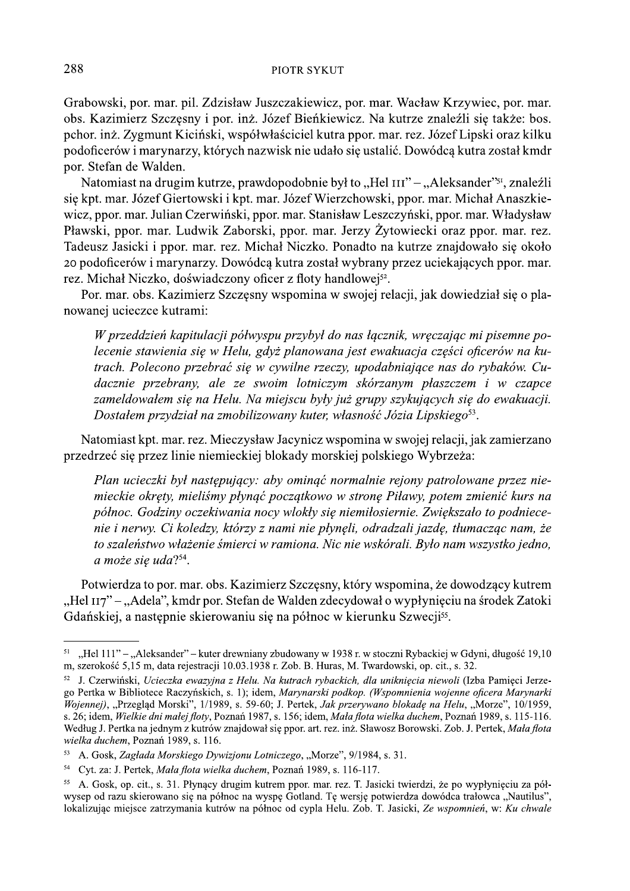Grabowski, por. mar. pil. Zdzisław Juszczakiewicz, por. mar. Wacław Krzywiec, por. mar. obs. Kazimierz Szczęsny i por. inż. Józef Bieńkiewicz. Na kutrze znaleźli się także: bos.<br>pchor. inż. Zygmunt Kiciński, współwłaściciel kutra ppor. mar. rez. Józef Lipski oraz kilku

PIOTR SYKUT<br>
Grabowski, por. mar. pil. Zdzisław Juszczakiewicz, por. mar. Wacław Krzywiec, por. mar.<br>
obs. Kazimierz Szczęsny i por. inż. Józef Bieńkiewicz. Na kutrze znaleźli się także: bos.<br>
pehor. inż. Zygmunt Kiciński, Por R SYKUT<br>
Tranchowski, por. mar. pil. Zdzisław Juszczakiewicz, por. mar. Wacław Krzywiec, por. mar.<br>
obs. Kazimierz Szczesny i por. inż. Józef Bienkiewicz. Na kutrze znależli się także: bos.<br>
połoficerów imarynarzy, któ Pławski, ppor. mar. Ludwik Zaborski, ppor. mar. Jerzy Żytowiecki oraz ppor. mar. rez. Tadeusz Jasicki i ppor. mar. rez. Michał Niczko. Ponadto na kutrze znajdowało się około<br>20 podoficerów i marynarzy. Dowódcą kutra został wybrany przez uciekających ppor. mar. pono. mz. Zygmun Krenski, wsporowascecie kutra ppor. mar. rez. jozet Lipski oraz kiiku<br>podoficerów i marynarzy, których nazwisk nie udało się ustalić. Dowódcą kutra został kmdr<br>por. Stefan de Walden.<br>Natomiast na drugim ku

Por. mar. obs. Kazimierz Szczęsny wspomina w swojej relacji, jak dowiedział się o planowanej ucieczce kutrami:

 $W$  przeddzień kapitulacji półwyspu przybył do nas łącznik, wręczając mi pisemne polecenie stawienia się w Helu, gdyż planowana jest ewakuacja części oficerów na kutrach. Polecono przebrać się w cywilne rzeczy, upodabniające nas do rybaków. Cudacznie przebrany, ale ze swoim lotniczym skórzanym płaszczem i w czapce zameldowałem się na Helu. Na miejscu były już grupy szykujących się do ewakuacji. Dostałem przydział na zmobilizowany kuter, własność Józia Lipskiego<sup>53</sup>.

Natomiast kpt. mar. rez. Mieczysław Jacynicz wspomina w swojej relacji, jak zamierzano przedrzeć się przez linie niemieckiej blokady morskiej polskiego Wybrzeża:

Plan ucieczki był następujący: aby ominąć normalnie rejony patrolowane przez niemieckie okręty, mieliśmy płynąć początkowo w stronę Piławy, potem zmienić kurs na  $p\acute{o}thoc$ . Godziny oczekiwania nocy wlokły się niemiłosiernie. Zwiększało to podniecenie i nerwy. Ci koledzy, którzy z nami nie płynęli, odradzali jazdę, tłumacząc nam, że to szaleństwo włażenie śmierci w ramiona. Nic nie wskórali. Było nam wszystko jedno, a może się uda? $54$ . Sheetie okrety. The interestic probably interestic possites wyorzeza.<br>
Plan ucieczki był następujący: aby ominąć normalnie rejony patrolowane przez nie-<br>
mieckie okręty, mielismy płynąć początkowo w stronę Plilawy, potem z

Potwierdza to por. mar. obs. Ka

<sup>&</sup>lt;sup>51</sup>, Hel 111" - "Aleksander" – kuter drewniany zbudowany w 1938 r. w stoczni Rybackiej w Gdyni, długość 19,10 m, szerokość 5,15 m, data rejestracji 10.03.1938 r. Zob. B. Huras, M. Twardowski, op. cit., s. 32.

 $^{52}$  J. Czerwiński, Ucieczka ewazyjna z Helu. Na kutrach rybackich, dla uniknięcia niewoli (Izba Pamięci Jerzego Pertka w Bibliotece Raczynskich, s. 1); idem, *Marynarski podkop. (Wspomnienia wojenne oficera Marynarki* Wojennej), "Przegląd Morski", 1/1989, s. 59-60; J. Pertek, *Jak przerywano blokadę na Helu*, "Morze", 10/1959, s. 26; idem, *Wielkie dni matej floty*, Poznan 1987, s. 156; idem, *Mata flota wielka duchem*, Poznan 1989, s. 115-116. Według J. Pertka na jednym z kutrów znajdował się ppor. art. rez. inz. Sławosz Borowski. Zob. J. Pertek, *Mała flota* 111" – "Aleksander" – kuter drewniany zbudowany w 1938 r. w stoczni Rybackiej w Gdyni<br>
sość 5,15 m, data rejestracji 10.03.1938 r. Zob. B. Huras, M. Twardowski, op. cit., s. 32.<br>
erwiński, *Ucieczka ewazyjna z Helu. Na kut* wielka duchem, Poznan 1989, s. 116. 3. Cazwansi, Octezza e Rougayma 2 rient. An attach ryotackin, an attachem, propaganel mewor (izon a tampe) (Prenka w Bibliotece Raczyńskich, s. 1); idem, *Marynarski podkop. (Wypomneina wojenne oficera Marynarki Wojennej)* 

<sup>53</sup> A. Gosk, Zagłada Morskiego Dywizjonu Lotniczego, "Morze", 9/1984, s. 31.

<sup>&</sup>lt;sup>54</sup> Cyt. za: J. Pertek, *Mała flota wielka duchem*, Poznań 1989, s. 116-117.

<sup>&</sup>lt;sup>55</sup> A. Gosk, op. cit., s. 31. Płynący drugim kutrem ppor. mar. rez. T. Jasicki twierdzi, że po wypłynięciu za pół-<br>wysep od razu skierowano się na północ na wyspę Gotland. Tę wersję potwierdza dowódca trałowca "Nautilus",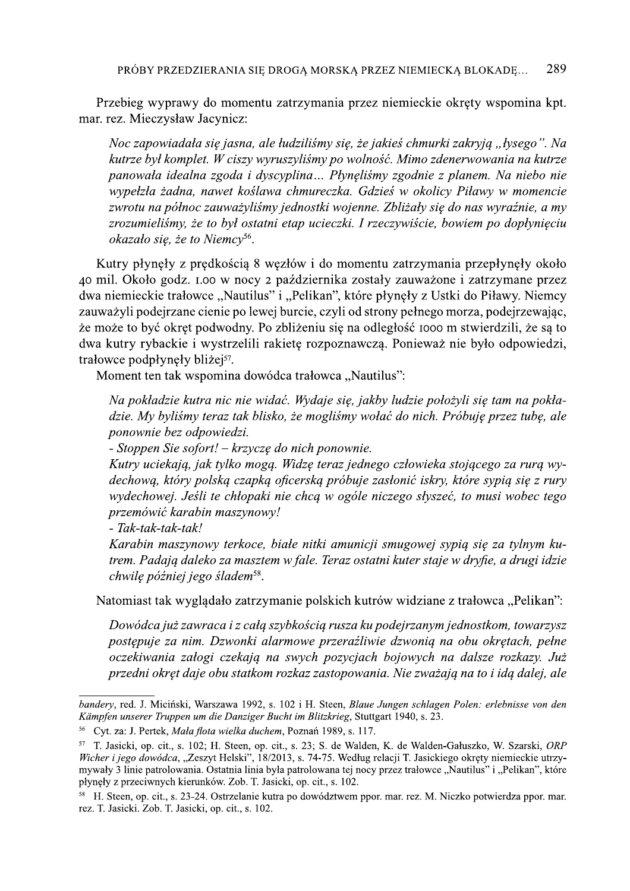Przebieg wyprawy do momentu zatrzymania przez niemieckie okręty wspomina kpt. mar. rez. Mieczysław Jacynicz:

Noc zapowiadała się jasna, ale łudziliśmy się, że jakieś chmurki zakryją "łysego". Na kutrze był komplet. W ciszy wyruszyliśmy po wolność. Mimo zdenerwowania na kutrze panowała idealna zgoda i dyscyplina... Płynęliśmy zgodnie z planem. Na niebo nie wypełzła żadna, nawet koślawa chmureczka. Gdzieś w okolicy Piławy w momencie zwrotu na północ zauważyliśmy jednostki wojenne. Zbliżały się do nas wyraźnie, a my zrozumieliśmy, że to był ostatni etap ucieczki. I rzeczywiście, bowiem po dopłynięciu okazało się, że to Niemcy<sup>56</sup>.

Kutry płynęły z prędkością 8 węzłów i do momentu zatrzymania przepłynęły około 40 mil. Około godz. 1.00 w nocy 2 października zostały zauważone i zatrzymane przez dwa niemieckie trałowce "Nautilus" i "Pelikan", które płynęły z Ustki do Piławy. Niemcy zauważyli podejrzane cienie po lewej burcie, czyli od strony pełnego morza, podejrzewając, że może to być okręt podwodny. Po zbliżeniu się na odległość 1000 m stwierdzili, że są to dwa kutry rybackie i wystrzelili rakietę rozpoznawczą. Ponieważ nie było odpowiedzi, trałowce podpłynęły bliżej<sup>57</sup>.

Moment ten tak wspomina dowódca trałowca "Nautilus":

Na pokładzie kutra nic nie widać. Wydaje się, jakby ludzie położyli się tam na pokładzie. My byliśmy teraz tak blisko, że mogliśmy wołać do nich. Próbuję przez tubę, ale ponownie bez odpowiedzi.

- Stoppen Sie sofort! - krzyczę do nich ponownie.

Kutry uciekają, jak tylko mogą. Widzę teraz jednego człowieka stojącego za rurą wydechową, który polską czapką oficerską próbuje zasłonić iskry, które sypią się z rury wydechowej. Jeśli te chłopaki nie chcą w ogóle niczego słyszeć, to musi wobec tego przemówić karabin maszynowy!

- Tak-tak-tak-tak!

Karabin maszynowy terkoce, białe nitki amunicji smugowej sypią się za tylnym kutrem. Padają daleko za masztem w fale. Teraz ostatni kuter staje w dryfie, a drugi idzie chwilę później jego śladem<sup>58</sup>.

Natomiast tak wyglądało zatrzymanie polskich kutrów widziane z trałowca "Pelikan":

Dowódca już zawraca i z całą szybkością rusza ku podejrzanym jednostkom, towarzysz postępuje za nim. Dzwonki alarmowe przerażliwie dzwonią na obu okrętach, pełne oczekiwania załogi czekają na swych pozycjach bojowych na dalsze rozkazy. Już przedni okręt daje obu statkom rozkaz zastopowania. Nie zważają na to i idą dalej, ale

bandery, red. J. Miciński, Warszawa 1992, s. 102 i H. Steen, Blaue Jungen schlagen Polen: erlebnisse von den Kämpfen unserer Truppen um die Danziger Bucht im Blitzkrieg, Stuttgart 1940, s. 23.

<sup>&</sup>lt;sup>56</sup> Cyt. za: J. Pertek, Mała flota wielka duchem, Poznań 1989, s. 117.

<sup>&</sup>lt;sup>57</sup> T. Jasicki, op. cit., s. 102; H. Steen, op. cit., s. 23; S. de Walden, K. de Walden-Gałuszko, W. Szarski, *ORP* Wicher i jego dowódca, "Zeszyt Helski", 18/2013, s. 74-75. Według relacji T. Jasickiego okręty niemieckie utrzymywały 3 linie patrolowania. Ostatnia linia była patrolowana tej nocy przez trałowce "Nautilus" i "Pelikan", które płynęły z przeciwnych kierunków. Zob. T. Jasicki, op. cit., s. 102.

<sup>&</sup>lt;sup>58</sup> H. Steen, op. cit., s. 23-24. Ostrzelanie kutra po dowództwem ppor. mar. rez. M. Niczko potwierdza ppor. mar. rez. T. Jasicki. Zob. T. Jasicki, op. cit., s. 102.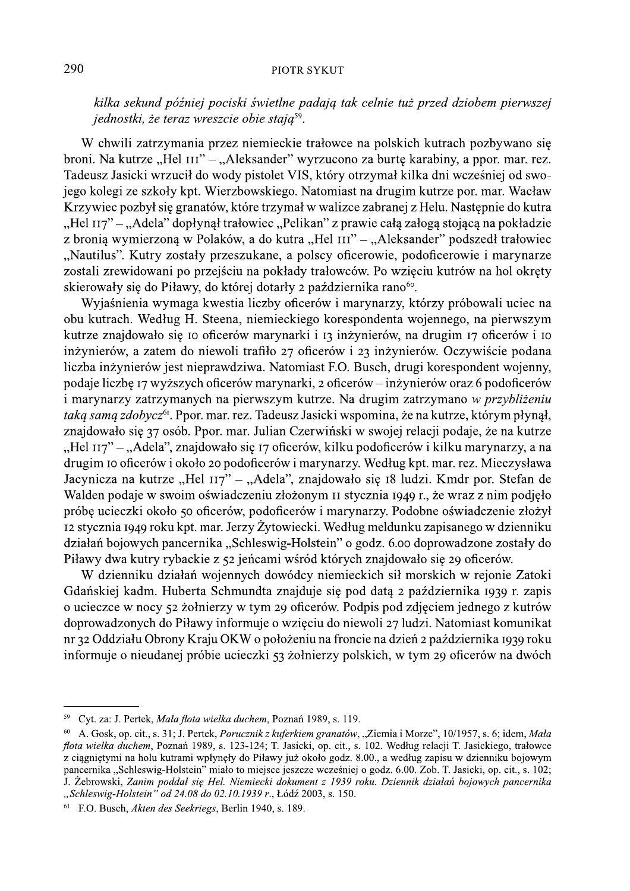kilka sekund później pociski świetlne padają tak celnie tuż przed dziobem pierwszej jednostki, że teraz wreszcie obie stają<sup>59</sup>.

W chwili zatrzymania przez niemieckie trałowce na polskich kutrach pozbywano się broni. Na kutrze "Hel III" – "Aleksander" wyrzucono za burtę karabiny, a ppor. mar. rez. Tadeusz Jasicki wrzucił do wody pistolet VIS, który otrzymał kilka dni wcześniej od swojego kolegi ze szkoły kpt. Wierzbowskiego. Natomiast na drugim kutrze por. mar. Wacław Krzywiec pozbył się granatów, które trzymał w walizce zabranej z Helu. Następnie do kutra "Hel 117" – "Adela" dopłynął trałowiec "Pelikan" z prawie całą załogą stojącą na pokładzie z bronią wymierzoną w Polaków, a do kutra "Hel III" – "Aleksander" podszedł trałowiec "Nautilus". Kutry zostały przeszukane, a polscy oficerowie, podoficerowie i marynarze zostali zrewidowani po przejściu na pokłady trałowców. Po wzięciu kutrów na hol okręty skierowały się do Piławy, do której dotarły 2 października rano<sup>60</sup>.

Wyjaśnienia wymaga kwestia liczby oficerów i marynarzy, którzy próbowali uciec na obu kutrach. Według H. Steena, niemieckiego korespondenta wojennego, na pierwszym kutrze znajdowało się to oficerów marynarki i 13 inżynierów, na drugim 17 oficerów i 10 inżynierów, a zatem do niewoli trafiło 27 oficerów i 23 inżynierów. Oczywiście podana liczba inżynierów jest nieprawdziwa. Natomiast F.O. Busch, drugi korespondent wojenny, podaje liczbe 17 wyższych oficerów marynarki, 2 oficerów – inżynierów oraz 6 podoficerów i marynarzy zatrzymanych na pierwszym kutrze. Na drugim zatrzymano w przybliżeniu taką samą zdobycz<sup>61</sup>. Ppor. mar. rez. Tadeusz Jasicki wspomina, że na kutrze, którym płynął, znajdowało się 37 osób. Ppor. mar. Julian Czerwiński w swojej relacji podaje, że na kutrze "Hel 117" – "Adela", znajdowało się 17 oficerów, kilku podoficerów i kilku marynarzy, a na drugim 10 oficerów i około 20 podoficerów i marynarzy. Według kpt. mar. rez. Mieczysława Jacynicza na kutrze "Hel 117" – "Adela", znajdowało się 18 ludzi. Kmdr por. Stefan de Walden podaje w swoim oświadczeniu złożonym II stycznia 1949 r., że wraz z nim podjeło próbę ucieczki około 50 oficerów, podoficerów i marynarzy. Podobne oświadczenie złożył 12 stycznia 1949 roku kpt. mar. Jerzy Żytowiecki. Według meldunku zapisanego w dzienniku działań bojowych pancernika "Schleswig-Holstein" o godz. 6.00 doprowadzone zostały do Piławy dwa kutry rybackie z 52 jeńcami wśród których znajdowało się 29 oficerów.

W dzienniku działań wojennych dowódcy niemieckich sił morskich w rejonie Zatoki Gdańskiej kadm. Huberta Schmundta znajduje się pod datą 2 października 1939 r. zapis o ucieczce w nocy 52 żołnierzy w tym 29 oficerów. Podpis pod zdjęciem jednego z kutrów doprowadzonych do Piławy informuje o wzięciu do niewoli 27 ludzi. Natomiast komunikat nr 32 Oddziału Obrony Kraju OKW o położeniu na froncie na dzień 2 października 1939 roku informuje o nieudanej próbie ucieczki 53 żołnierzy polskich, w tym 29 oficerów na dwóch

<sup>&</sup>lt;sup>59</sup> Cyt. za: J. Pertek, Mała flota wielka duchem, Poznań 1989, s. 119.

<sup>&</sup>lt;sup>60</sup> A. Gosk, op. cit., s. 31; J. Pertek, *Porucznik z kuferkiem granatów*, "Ziemia i Morze", 10/1957, s. 6; idem, *Mala* flota wielka duchem, Poznań 1989, s. 123-124; T. Jasicki, op. cit., s. 102. Według relacji T. Jasickiego, trałowce z ciągniętymi na holu kutrami wpłynęły do Piławy już około godz. 8.00., a według zapisu w dzienniku bojowym pancernika "Schleswig-Holstein" miało to miejsce jeszcze wcześniej o godz. 6.00. Zob. T. Jasicki, op. cit., s. 102; J. Zebrowski, Zanim poddał się Hel. Niemiecki dokument z 1939 roku. Dziennik działań bojowych pancernika "Schleswig-Holstein" od 24.08 do 02.10.1939 r., Łódź 2003, s. 150.

 $61$  F.O. Busch, *Akten des Seekriegs*, Berlin 1940, s. 189.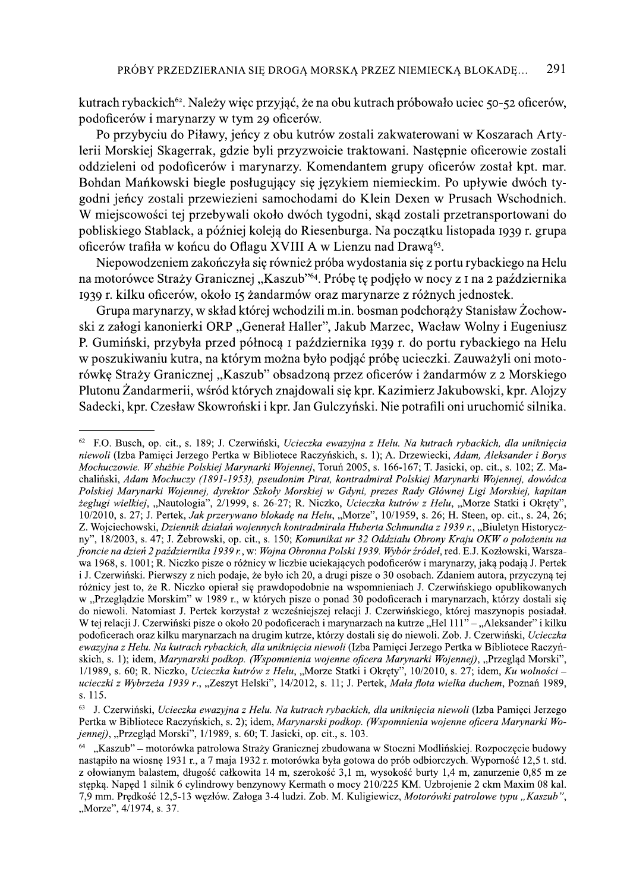kutrach rybackich<sup>62</sup>. Należy więc przyjąć, że na obu kutrach próbowało uciec 50-52 oficerów, podoficerów i marynarzy w tym 29 oficerów.

Po przybyciu do Piławy, jeńcy z obu kutrów zostali zakwaterowani w Koszarach Artylerii Morskiej Skagerrak, gdzie byli przyzwoicie traktowani. Następnie oficerowie zostali oddzieleni od podoficerów i marynarzy. Komendantem grupy oficerów został kpt. mar. Bohdan Mańkowski biegle posługujący się językiem niemieckim. Po upływie dwóch tygodni jeńcy zostali przewiezieni samochodami do Klein Dexen w Prusach Wschodnich. W miejscowości tej przebywali około dwóch tygodni, skąd zostali przetransportowani do pobliskiego Stablack, a później koleją do Riesenburga. Na początku listopada 1939 r. grupa oficerów trafiła w końcu do Oflagu XVIII A w Lienzu nad Drawa<sup>63</sup>.

Niepowodzeniem zakończyła się również próba wydostania się z portu rybackiego na Helu na motorówce Straży Granicznej "Kaszub"<sup>64</sup>. Próbę tę podjęło w nocy z I na 2 października 1939 r. kilku oficerów, około 15 żandarmów oraz marynarze z różnych jednostek.

Grupa marynarzy, w skład której wchodzili m.in. bosman podchorąży Stanisław Żochowski z załogi kanonierki ORP "Generał Haller", Jakub Marzec, Wacław Wolny i Eugeniusz P. Gumiński, przybyła przed północą i października 1939 r. do portu rybackiego na Helu w poszukiwaniu kutra, na którym można było podjąć próbę ucieczki. Zauważyli oni motorówkę Straży Granicznej "Kaszub" obsadzoną przez oficerów i żandarmów z 2 Morskiego Plutonu Żandarmerii, wśród których znajdowali się kpr. Kazimierz Jakubowski, kpr. Alojzy Sadecki, kpr. Czesław Skowroński i kpr. Jan Gulczyński. Nie potrafili oni uruchomić silnika.

<sup>&</sup>lt;sup>62</sup> F.O. Busch, op. cit., s. 189; J. Czerwiński, Ucieczka ewazyjna z Helu. Na kutrach rybackich, dla uniknięcia niewoli (Izba Pamieci Jerzego Pertka w Bibliotece Raczyńskich, s. 1); A. Drzewiecki, Adam, Aleksander i Borys Mochuczowie. W służbie Polskiej Marynarki Wojennej, Toruń 2005, s. 166-167; T. Jasicki, op. cit., s. 102; Z. Machaliński, Adam Mochuczy (1891-1953), pseudonim Pirat, kontradmirał Polskiej Marynarki Wojennej, dowódca Polskiej Marynarki Wojennej, dyrektor Szkoły Morskiej w Gdyni, prezes Rady Głównej Ligi Morskiej, kapitan żeglugi wielkiej, "Nautologia", 2/1999, s. 26-27; R. Niczko, Ucieczka kutrów z Helu, "Morze Statki i Okręty", 10/2010, s. 27; J. Pertek, Jak przerywano blokadę na Helu, "Morze", 10/1959, s. 26; H. Steen, op. cit., s. 24, 26; Z. Wojciechowski, Dziennik działań wojennych kontradmirała Huberta Schmundta z 1939 r., "Biuletyn Historyczny", 18/2003, s. 47; J. Żebrowski, op. cit., s. 150; Komunikat nr 32 Oddziału Obrony Kraju OKW o położeniu na froncie na dzień 2 października 1939 r., w: Wojna Obronna Polski 1939. Wybór źródeł, red. E.J. Kozłowski, Warszawa 1968, s. 1001; R. Niczko pisze o różnicy w liczbie uciekających podoficerów i marynarzy, jaka podają J. Pertek i J. Czerwiński. Pierwszy z nich podaje, że było ich 20, a drugi pisze o 30 osobach. Zdaniem autora, przyczyną tej różnicy jest to, że R. Niczko opierał się prawdopodobnie na wspomnieniach J. Czerwińskiego opublikowanych w "Przeglądzie Morskim" w 1989 r., w których pisze o ponad 30 podoficerach i marynarzach, którzy dostali się do niewoli. Natomiast J. Pertek korzystał z wcześniejszej relacji J. Czerwińskiego, której maszynopis posiadał. W tej relacji J. Czerwiński pisze o około 20 podoficerach i marynarzach na kutrze "Hel 111" – "Aleksander" i kilku<br>podoficerach oraz kilku marynarzach na drugim kutrze, którzy dostali się do niewoli. Zob. J. Czerwiński, Uc ewazyjna z Helu. Na kutrach rybackich, dla unikniecia niewoli (Izba Pamieci Jerzego Pertka w Bibliotece Raczyńskich, s. 1); idem, Marynarski podkop. (Wspomnienia wojenne oficera Marynarki Wojennej), "Przeglad Morski".  $1/1989$ , s. 60; R. Niczko, Ucieczka kutrów z Helu, "Morze Statki i Okręty", 10/2010, s. 27; idem, Ku wolności – ucieczki z Wybrzeża 1939 r., "Zeszyt Helski", 14/2012, s. 11; J. Pertek, Mała flota wielka duchem, Poznań 1989, s. 115.

J. Czerwiński, Ucieczka ewazyjna z Helu. Na kutrach rybackich, dla unikniecia niewoli (Izba Pamieci Jerzego Pertka w Bibliotece Raczyńskich, s. 2); idem, Marynarski podkop. (Wspomnienia wojenne oficera Marynarki Wojennej), "Przegląd Morski", 1/1989, s. 60; T. Jasicki, op. cit., s. 103.

<sup>&</sup>quot;Kaszub" – motorówka patrolowa Straży Granicznej zbudowana w Stoczni Modlińskiej. Rozpoczecje budowy nastapilo na wiosne 1931 r., a 7 maja 1932 r. motorówka była gotowa do prób odbiorczych. Wyporność 12.5 t. std. z ołowianym balastem, długość całkowita 14 m, szerokość 3,1 m, wysokość burty 1,4 m, zanurzenie 0,85 m ze stepka. Naped 1 silnik 6 cylindrowy benzynowy Kermath o mocy 210/225 KM. Uzbrojenie 2 ckm Maxim 08 kal. 7.9 mm. Predkość 12,5-13 wezłów. Załoga 3-4 ludzi. Zob. M. Kuligiewicz, Motorówki patrolowe typu "Kaszub", "Morze", 4/1974, s. 37.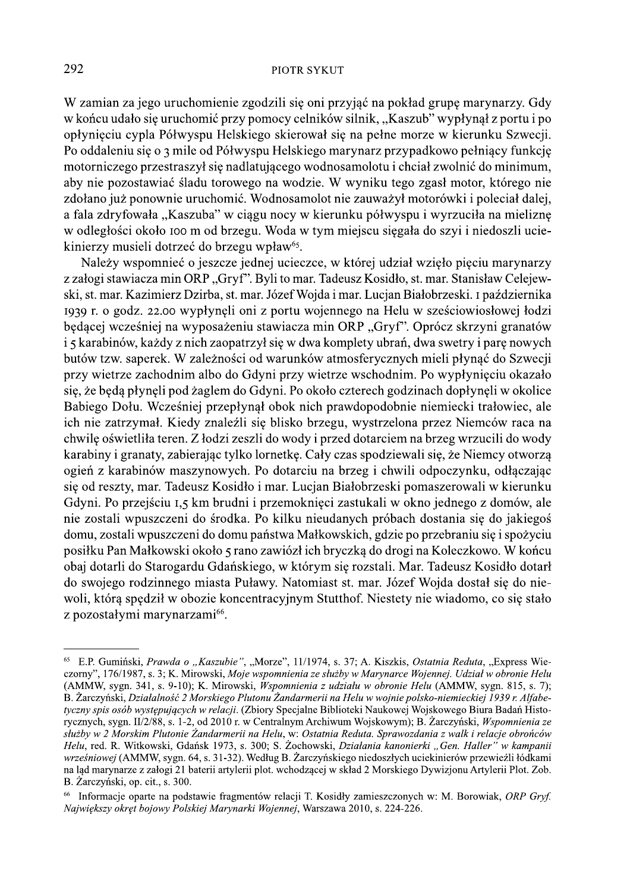W zamian za jego uruchomienie zgodzili się oni przyjąć na pokład grupę marynarzy. Gdy w końcu udało się uruchomić przy pomocy celników silnik, "Kaszub" wypłynął z portu i po opłynieciu cypla Półwyspu Helskiego skierował się na pełne morze w kierunku Szwecji. Po oddaleniu się o 3 mile od Półwyspu Helskiego marynarz przypadkowo pełniący funkcję motorniczego przestraszył się nadlatującego wodnosamolotu i chciał zwolnić do minimum, aby nie pozostawiać śladu torowego na wodzie. W wyniku tego zgasł motor, którego nie zdołano już ponownie uruchomić. Wodnosamolot nie zauważył motorówki i poleciał dalej, a fala zdryfowała "Kaszuba" w ciągu nocy w kierunku półwyspu i wyrzuciła na mieliznę w odległości około 100 m od brzegu. Woda w tym miejscu siegała do szyj i niedoszli uciekinierzy musieli dotrzeć do brzegu wpław<sup>65</sup>.

Należy wspomnieć o jeszcze jednej ucieczce, w której udział wzięło pięciu marynarzy z załogi stawiacza min ORP "Gryf". Byli to mar. Tadeusz Kosidło, st. mar. Stanisław Celejewski, st. mar. Kazimierz Dzirba, st. mar. Józef Wojda i mar. Lucjan Białobrzeski. I października 1939 r. o godz. 22.00 wypłynęli oni z portu wojennego na Helu w sześciowiosłowej łodzi będącej wcześniej na wyposażeniu stawiacza min ORP "Gryf". Oprócz skrzyni granatów i 5 karabinów, każdy z nich zaopatrzył się w dwa komplety ubrań, dwa swetry i parę nowych butów tzw. saperek. W zależności od warunków atmosferycznych mieli płynąć do Szwecji przy wietrze zachodnim albo do Gdyni przy wietrze wschodnim. Po wypłynięciu okazało się, że będą płynęli pod żaglem do Gdyni. Po około czterech godzinach dopłynęli w okolice Babiego Dołu. Wcześniej przepłynał obok nich prawdopodobnie niemiecki trałowiec, ale ich nie zatrzymał. Kiedy znaleźli się blisko brzegu, wystrzelona przez Niemców raca na chwilę oświetliła teren. Z łodzi zeszli do wody i przed dotarciem na brzeg wrzucili do wody karabiny i granaty, zabierając tylko lornetkę. Cały czas spodziewali się, że Niemcy otworzą ogień z karabinów maszynowych. Po dotarciu na brzeg i chwili odpoczynku, odłączając się od reszty, mar. Tadeusz Kosidło i mar. Lucjan Białobrzeski pomaszerowali w kierunku Gdyni. Po przejściu 1,5 km brudni i przemoknięci zastukali w okno jednego z domów, ale nie zostali wpuszczeni do środka. Po kilku nieudanych próbach dostania się do jakiegoś domu, zostali wpuszczeni do domu państwa Małkowskich, gdzie po przebraniu się i spożyciu posiłku Pan Małkowski około 5 rano zawiózł ich bryczką do drogi na Koleczkowo. W końcu obaj dotarli do Starogardu Gdańskiego, w którym się rozstali. Mar. Tadeusz Kosidło dotarł do swojego rodzinnego miasta Puławy. Natomiast st. mar. Józef Wojda dostał się do niewoli, którą spędził w obozie koncentracyjnym Stutthof. Niestety nie wiadomo, co się stało z pozostałymi marynarzami<sup>66</sup>.

<sup>&</sup>lt;sup>65</sup> E.P. Gumiński, Prawda o "Kaszubie", "Morze", 11/1974, s. 37; A. Kiszkis, Ostatnia Reduta, "Express Wieczorny", 176/1987, s. 3; K. Mirowski, Moje wspomnienia ze służby w Marynarce Wojennej. Udział w obronie Helu (AMMW, sygn. 341, s. 9-10); K. Mirowski, *Wspomnienia z udziału w obronie Helu* (AMMW, sygn. 815, s. 7); B. Zarczyński, Działalność 2 Morskiego Plutonu Żandarmerii na Helu w wojnie polsko-niemieckiej 1939 r. Alfabetyczny spis osób występujących w relacji. (Zbiory Specjalne Biblioteki Naukowej Wojskowego Biura Badań Historycznych, sygn. II/2/88, s. 1-2, od 2010 r. w Centralnym Archiwum Wojskowym); B. Żarczyński, Wspomnienia ze służby w 2 Morskim Plutonie Żandarmerii na Helu, w: Ostatnia Reduta. Sprawozdania z walk i relacje obrońców Helu, red. R. Witkowski, Gdańsk 1973, s. 300; S. Żochowski, Działania kanonierki "Gen. Haller" w kampanii wrześniowej (AMMW, sygn. 64, s. 31-32). Według B. Żarczyńskiego niedoszłych uciekinierów przewieźli łódkami na ląd marynarze z załogi 21 baterii artylerii plot. wchodzącej w skład 2 Morskiego Dywizjonu Artylerii Plot. Zob. B. Zarczyński, op. cit., s. 300.

Informacje oparte na podstawie fragmentów relacji T. Kosidły zamieszczonych w: M. Borowiak, ORP Gryf. Najwiekszy okręt bojowy Polskiej Marynarki Wojennej, Warszawa 2010, s. 224-226.